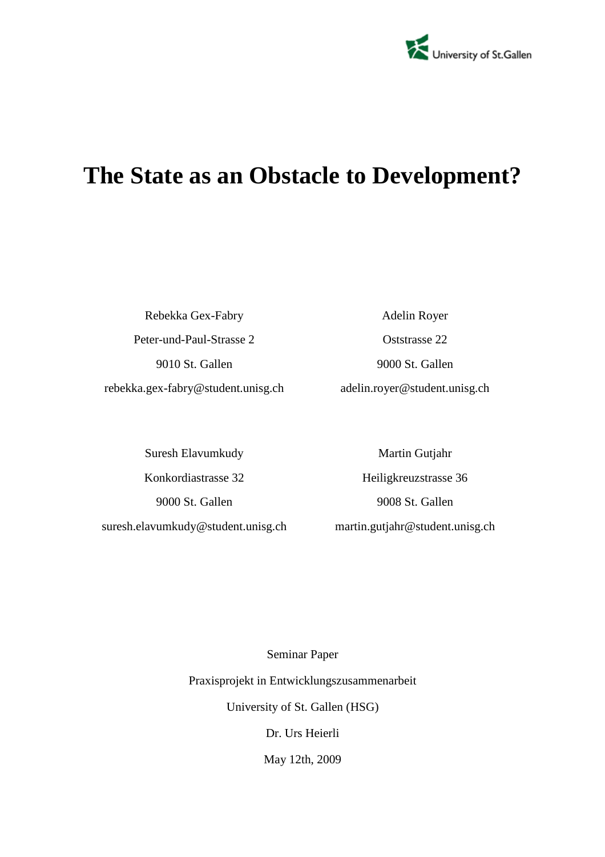

# **The State as an Obstacle to Development?**

Rebekka Gex-Fabry Peter-und-Paul-Strasse 2 9010 St. Gallen rebekka.gex-fabry@student.unisg.ch

Adelin Royer Oststrasse 22 9000 St. Gallen adelin.royer@student.unisg.ch

Suresh Elavumkudy Konkordiastrasse 32 9000 St. Gallen suresh.elavumkudy@student.unisg.ch

Martin Gutjahr Heiligkreuzstrasse 36 9008 St. Gallen martin.gutjahr@student.unisg.ch

Seminar Paper Praxisprojekt in Entwicklungszusammenarbeit University of St. Gallen (HSG) Dr. Urs Heierli May 12th, 2009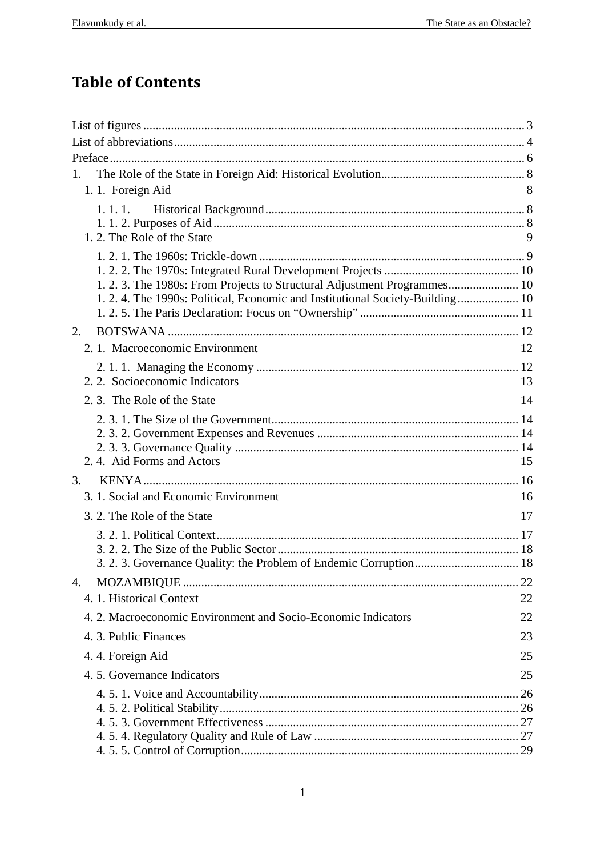# **Table of Contents**

| 1.                                                                            |    |
|-------------------------------------------------------------------------------|----|
| 1.1. Foreign Aid                                                              | 8  |
| 1. 1. 1.                                                                      |    |
|                                                                               |    |
| 1.2. The Role of the State                                                    | 9  |
|                                                                               |    |
|                                                                               |    |
|                                                                               |    |
| 1. 2. 4. The 1990s: Political, Economic and Institutional Society-Building 10 |    |
| 2.                                                                            |    |
| 2.1. Macroeconomic Environment                                                | 12 |
|                                                                               |    |
| 2. 2. Socioeconomic Indicators                                                | 13 |
| 2.3. The Role of the State                                                    | 14 |
|                                                                               |    |
|                                                                               |    |
|                                                                               |    |
| 2.4. Aid Forms and Actors                                                     | 15 |
| 3.                                                                            |    |
| 3. 1. Social and Economic Environment                                         | 16 |
| 3. 2. The Role of the State                                                   | 17 |
|                                                                               |    |
|                                                                               |    |
|                                                                               |    |
| 4.                                                                            | 22 |
| 4. 1. Historical Context                                                      | 22 |
| 4.2. Macroeconomic Environment and Socio-Economic Indicators                  | 22 |
| 4. 3. Public Finances                                                         | 23 |
| 4.4. Foreign Aid                                                              | 25 |
| 4.5. Governance Indicators                                                    | 25 |
|                                                                               |    |
|                                                                               |    |
|                                                                               |    |
|                                                                               |    |
|                                                                               |    |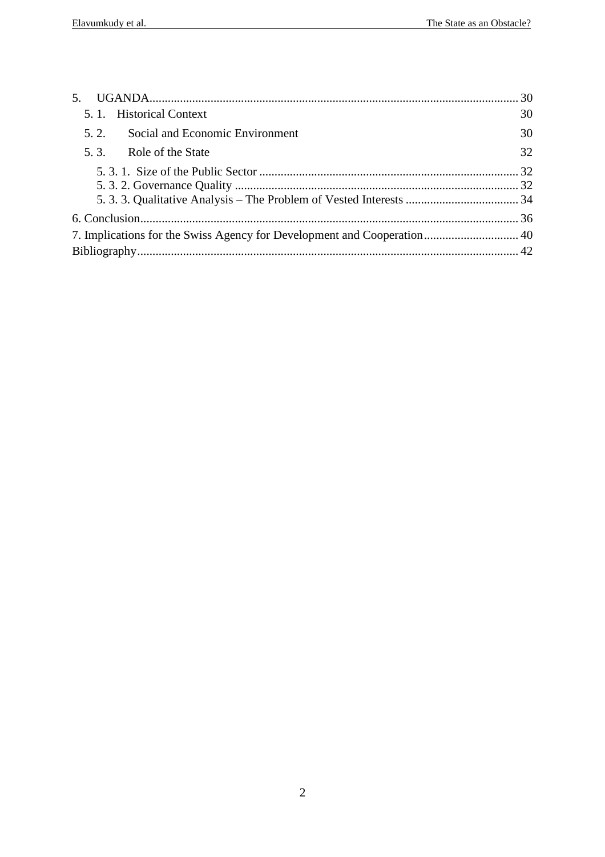| 5.1. Historical Context                 | 30 |
|-----------------------------------------|----|
| Social and Economic Environment<br>5.2. | 30 |
| 5.3. Role of the State                  | 32 |
|                                         |    |
|                                         |    |
|                                         |    |
|                                         |    |
|                                         |    |
|                                         |    |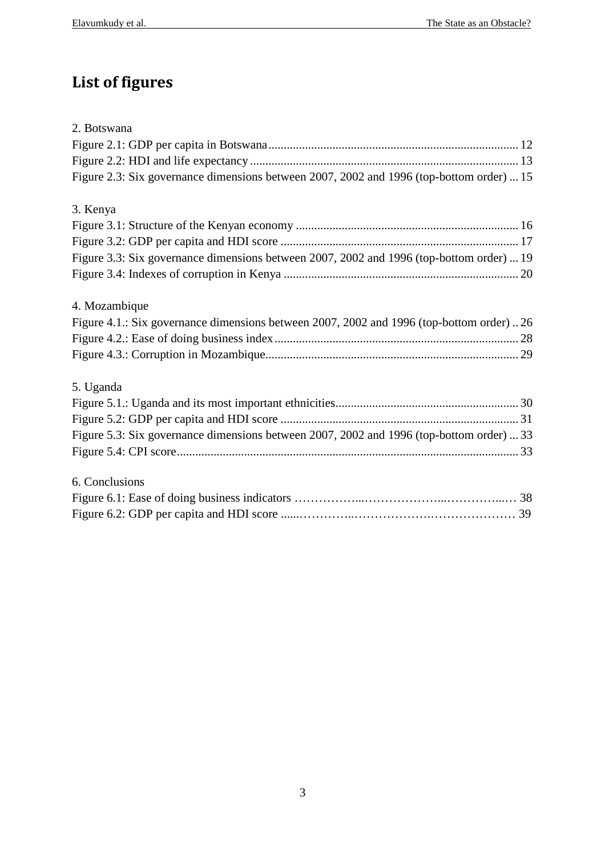# **List of figures**

| 2. Botswana                                                                              |  |
|------------------------------------------------------------------------------------------|--|
|                                                                                          |  |
|                                                                                          |  |
| Figure 2.3: Six governance dimensions between 2007, 2002 and 1996 (top-bottom order)  15 |  |
| 3. Kenya                                                                                 |  |
|                                                                                          |  |
|                                                                                          |  |
| Figure 3.3: Six governance dimensions between 2007, 2002 and 1996 (top-bottom order)  19 |  |
|                                                                                          |  |
| 4. Mozambique                                                                            |  |
| Figure 4.1.: Six governance dimensions between 2007, 2002 and 1996 (top-bottom order)26  |  |
|                                                                                          |  |
|                                                                                          |  |
| 5. Uganda                                                                                |  |
|                                                                                          |  |
|                                                                                          |  |
| Figure 5.3: Six governance dimensions between 2007, 2002 and 1996 (top-bottom order)  33 |  |
|                                                                                          |  |
| 6. Conclusions                                                                           |  |
|                                                                                          |  |
|                                                                                          |  |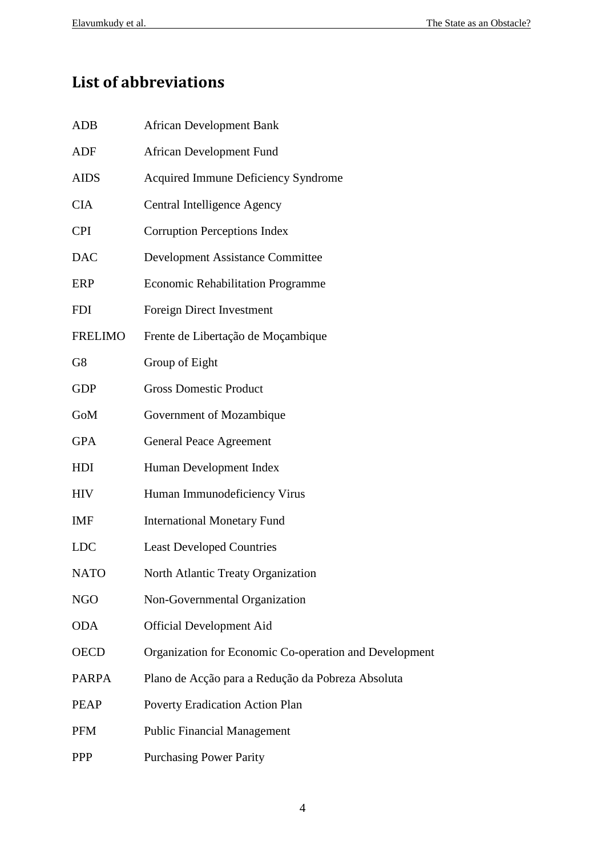# **List of abbreviations**

| ADB            | <b>African Development Bank</b>                        |
|----------------|--------------------------------------------------------|
| ADF            | African Development Fund                               |
| <b>AIDS</b>    | Acquired Immune Deficiency Syndrome                    |
| <b>CIA</b>     | Central Intelligence Agency                            |
| <b>CPI</b>     | <b>Corruption Perceptions Index</b>                    |
| <b>DAC</b>     | <b>Development Assistance Committee</b>                |
| ERP            | <b>Economic Rehabilitation Programme</b>               |
| <b>FDI</b>     | Foreign Direct Investment                              |
| <b>FRELIMO</b> | Frente de Libertação de Moçambique                     |
| G8             | Group of Eight                                         |
| <b>GDP</b>     | <b>Gross Domestic Product</b>                          |
| GoM            | Government of Mozambique                               |
| <b>GPA</b>     | <b>General Peace Agreement</b>                         |
| HDI            | Human Development Index                                |
| <b>HIV</b>     | Human Immunodeficiency Virus                           |
| <b>IMF</b>     | <b>International Monetary Fund</b>                     |
| <b>LDC</b>     | <b>Least Developed Countries</b>                       |
| <b>NATO</b>    | North Atlantic Treaty Organization                     |
| <b>NGO</b>     | Non-Governmental Organization                          |
| <b>ODA</b>     | <b>Official Development Aid</b>                        |
| <b>OECD</b>    | Organization for Economic Co-operation and Development |
| <b>PARPA</b>   | Plano de Acção para a Redução da Pobreza Absoluta      |
| <b>PEAP</b>    | <b>Poverty Eradication Action Plan</b>                 |
| <b>PFM</b>     | <b>Public Financial Management</b>                     |
| <b>PPP</b>     | <b>Purchasing Power Parity</b>                         |
|                |                                                        |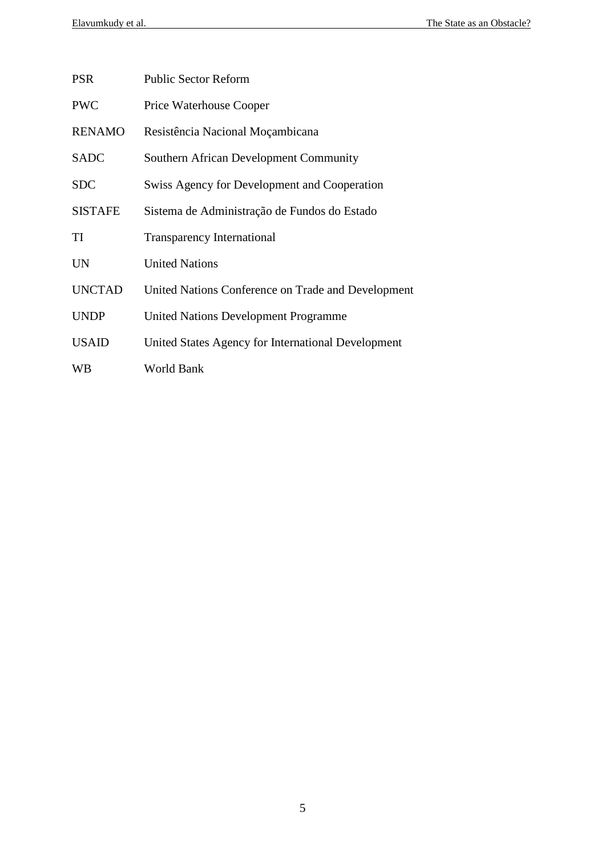| <b>PSR</b>     | <b>Public Sector Reform</b>                         |
|----------------|-----------------------------------------------------|
| <b>PWC</b>     | <b>Price Waterhouse Cooper</b>                      |
| <b>RENAMO</b>  | Resistência Nacional Moçambicana                    |
| <b>SADC</b>    | <b>Southern African Development Community</b>       |
| <b>SDC</b>     | <b>Swiss Agency for Development and Cooperation</b> |
| <b>SISTAFE</b> | Sistema de Administração de Fundos do Estado        |
| TI             | <b>Transparency International</b>                   |
| <b>UN</b>      | <b>United Nations</b>                               |
| <b>UNCTAD</b>  | United Nations Conference on Trade and Development  |
| <b>UNDP</b>    | <b>United Nations Development Programme</b>         |
| <b>USAID</b>   | United States Agency for International Development  |
| WВ             | World Bank                                          |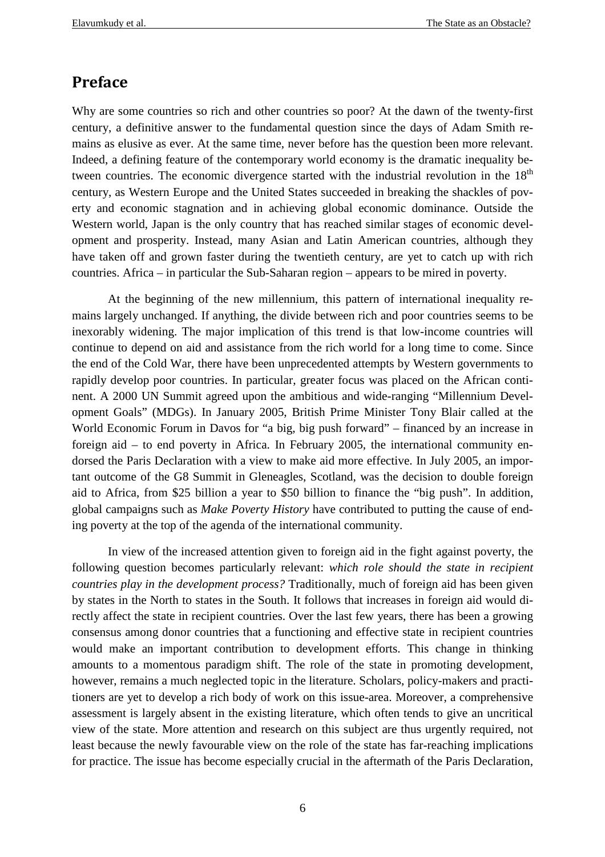## **Preface**

Why are some countries so rich and other countries so poor? At the dawn of the twenty-first century, a definitive answer to the fundamental question since the days of Adam Smith remains as elusive as ever. At the same time, never before has the question been more relevant. Indeed, a defining feature of the contemporary world economy is the dramatic inequality between countries. The economic divergence started with the industrial revolution in the  $18<sup>th</sup>$ century, as Western Europe and the United States succeeded in breaking the shackles of poverty and economic stagnation and in achieving global economic dominance. Outside the Western world, Japan is the only country that has reached similar stages of economic development and prosperity. Instead, many Asian and Latin American countries, although they have taken off and grown faster during the twentieth century, are yet to catch up with rich countries. Africa – in particular the Sub-Saharan region – appears to be mired in poverty.

At the beginning of the new millennium, this pattern of international inequality remains largely unchanged. If anything, the divide between rich and poor countries seems to be inexorably widening. The major implication of this trend is that low-income countries will continue to depend on aid and assistance from the rich world for a long time to come. Since the end of the Cold War, there have been unprecedented attempts by Western governments to rapidly develop poor countries. In particular, greater focus was placed on the African continent. A 2000 UN Summit agreed upon the ambitious and wide-ranging "Millennium Development Goals" (MDGs). In January 2005, British Prime Minister Tony Blair called at the World Economic Forum in Davos for "a big, big push forward" – financed by an increase in foreign aid – to end poverty in Africa. In February 2005, the international community endorsed the Paris Declaration with a view to make aid more effective. In July 2005, an important outcome of the G8 Summit in Gleneagles, Scotland, was the decision to double foreign aid to Africa, from \$25 billion a year to \$50 billion to finance the "big push". In addition, global campaigns such as *Make Poverty History* have contributed to putting the cause of ending poverty at the top of the agenda of the international community.

In view of the increased attention given to foreign aid in the fight against poverty, the following question becomes particularly relevant: *which role should the state in recipient countries play in the development process?* Traditionally, much of foreign aid has been given by states in the North to states in the South. It follows that increases in foreign aid would directly affect the state in recipient countries. Over the last few years, there has been a growing consensus among donor countries that a functioning and effective state in recipient countries would make an important contribution to development efforts. This change in thinking amounts to a momentous paradigm shift. The role of the state in promoting development, however, remains a much neglected topic in the literature. Scholars, policy-makers and practitioners are yet to develop a rich body of work on this issue-area. Moreover, a comprehensive assessment is largely absent in the existing literature, which often tends to give an uncritical view of the state. More attention and research on this subject are thus urgently required, not least because the newly favourable view on the role of the state has far-reaching implications for practice. The issue has become especially crucial in the aftermath of the Paris Declaration,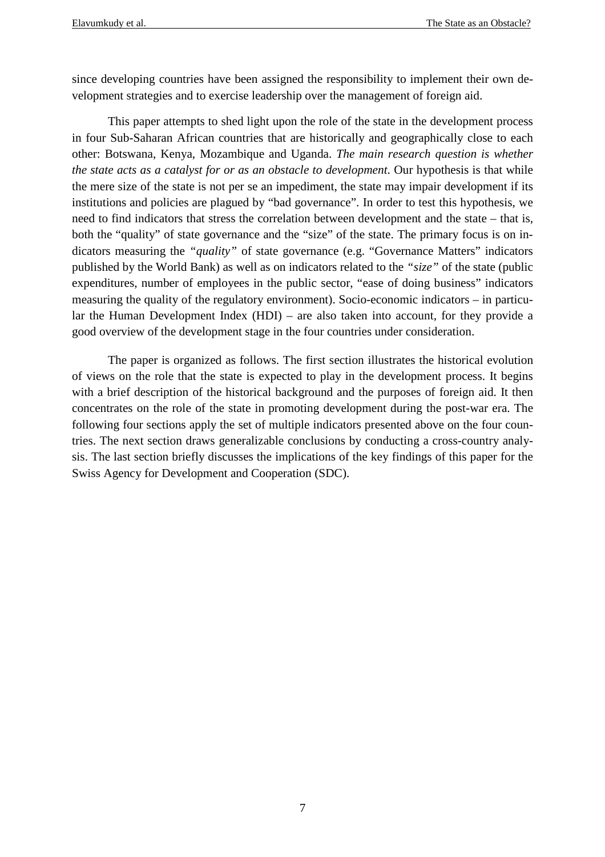since developing countries have been assigned the responsibility to implement their own development strategies and to exercise leadership over the management of foreign aid.

This paper attempts to shed light upon the role of the state in the development process in four Sub-Saharan African countries that are historically and geographically close to each other: Botswana, Kenya, Mozambique and Uganda. *The main research question is whether the state acts as a catalyst for or as an obstacle to development*. Our hypothesis is that while the mere size of the state is not per se an impediment, the state may impair development if its institutions and policies are plagued by "bad governance". In order to test this hypothesis, we need to find indicators that stress the correlation between development and the state – that is, both the "quality" of state governance and the "size" of the state. The primary focus is on indicators measuring the *"quality"* of state governance (e.g. "Governance Matters" indicators published by the World Bank) as well as on indicators related to the *"size"* of the state (public expenditures, number of employees in the public sector, "ease of doing business" indicators measuring the quality of the regulatory environment). Socio-economic indicators – in particular the Human Development Index (HDI) – are also taken into account, for they provide a good overview of the development stage in the four countries under consideration.

The paper is organized as follows. The first section illustrates the historical evolution of views on the role that the state is expected to play in the development process. It begins with a brief description of the historical background and the purposes of foreign aid. It then concentrates on the role of the state in promoting development during the post-war era. The following four sections apply the set of multiple indicators presented above on the four countries. The next section draws generalizable conclusions by conducting a cross-country analysis. The last section briefly discusses the implications of the key findings of this paper for the Swiss Agency for Development and Cooperation (SDC).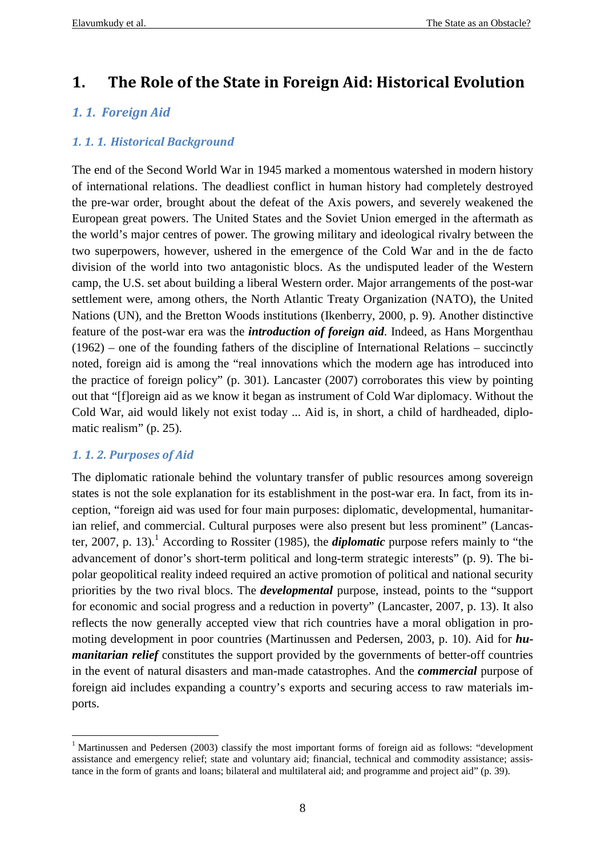## **1. The Role of the State in Foreign Aid: Historical Evolution**

## *1. 1. Foreign Aid*

## *1. 1. 1. Historical Background*

The end of the Second World War in 1945 marked a momentous watershed in modern history of international relations. The deadliest conflict in human history had completely destroyed the pre-war order, brought about the defeat of the Axis powers, and severely weakened the European great powers. The United States and the Soviet Union emerged in the aftermath as the world's major centres of power. The growing military and ideological rivalry between the two superpowers, however, ushered in the emergence of the Cold War and in the de facto division of the world into two antagonistic blocs. As the undisputed leader of the Western camp, the U.S. set about building a liberal Western order. Major arrangements of the post-war settlement were, among others, the North Atlantic Treaty Organization (NATO), the United Nations (UN), and the Bretton Woods institutions (Ikenberry, 2000, p. 9). Another distinctive feature of the post-war era was the *introduction of foreign aid*. Indeed, as Hans Morgenthau (1962) – one of the founding fathers of the discipline of International Relations – succinctly noted, foreign aid is among the "real innovations which the modern age has introduced into the practice of foreign policy" (p. 301). Lancaster (2007) corroborates this view by pointing out that "[f]oreign aid as we know it began as instrument of Cold War diplomacy. Without the Cold War, aid would likely not exist today ... Aid is, in short, a child of hardheaded, diplomatic realism" (p. 25).

## *1. 1. 2. Purposes of Aid*

 $\overline{a}$ 

The diplomatic rationale behind the voluntary transfer of public resources among sovereign states is not the sole explanation for its establishment in the post-war era. In fact, from its inception, "foreign aid was used for four main purposes: diplomatic, developmental, humanitarian relief, and commercial. Cultural purposes were also present but less prominent" (Lancaster, 2007, p. 13).<sup>1</sup> According to Rossiter (1985), the *diplomatic* purpose refers mainly to "the advancement of donor's short-term political and long-term strategic interests" (p. 9). The bipolar geopolitical reality indeed required an active promotion of political and national security priorities by the two rival blocs. The *developmental* purpose, instead, points to the "support for economic and social progress and a reduction in poverty" (Lancaster, 2007, p. 13). It also reflects the now generally accepted view that rich countries have a moral obligation in promoting development in poor countries (Martinussen and Pedersen, 2003, p. 10). Aid for *humanitarian relief* constitutes the support provided by the governments of better-off countries in the event of natural disasters and man-made catastrophes. And the *commercial* purpose of foreign aid includes expanding a country's exports and securing access to raw materials imports.

<sup>&</sup>lt;sup>1</sup> Martinussen and Pedersen (2003) classify the most important forms of foreign aid as follows: "development assistance and emergency relief; state and voluntary aid; financial, technical and commodity assistance; assistance in the form of grants and loans; bilateral and multilateral aid; and programme and project aid" (p. 39).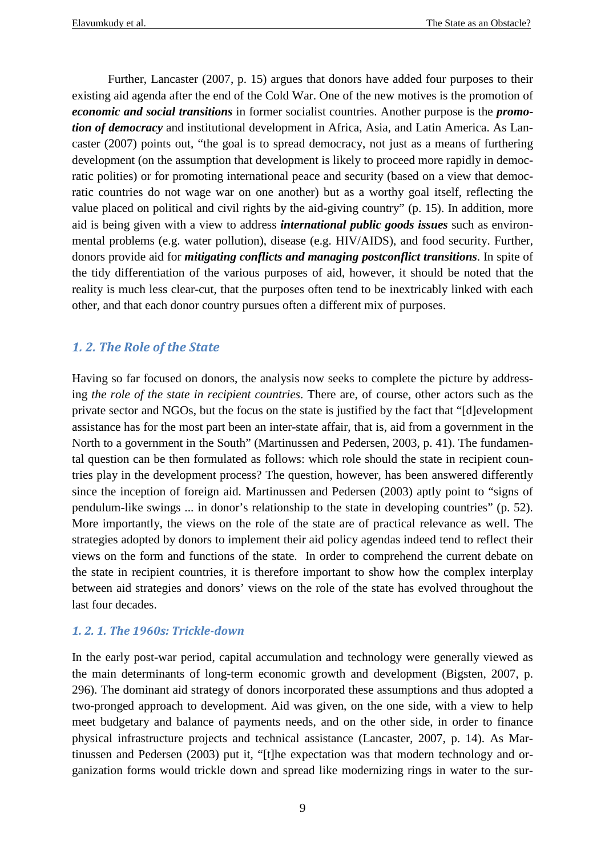Further, Lancaster (2007, p. 15) argues that donors have added four purposes to their existing aid agenda after the end of the Cold War. One of the new motives is the promotion of *economic and social transitions* in former socialist countries. Another purpose is the *promotion of democracy* and institutional development in Africa, Asia, and Latin America. As Lancaster (2007) points out, "the goal is to spread democracy, not just as a means of furthering development (on the assumption that development is likely to proceed more rapidly in democratic polities) or for promoting international peace and security (based on a view that democratic countries do not wage war on one another) but as a worthy goal itself, reflecting the value placed on political and civil rights by the aid-giving country" (p. 15). In addition, more aid is being given with a view to address *international public goods issues* such as environmental problems (e.g. water pollution), disease (e.g. HIV/AIDS), and food security. Further, donors provide aid for *mitigating conflicts and managing postconflict transitions*. In spite of the tidy differentiation of the various purposes of aid, however, it should be noted that the reality is much less clear-cut, that the purposes often tend to be inextricably linked with each other, and that each donor country pursues often a different mix of purposes.

## *1. 2. The Role of the State*

Having so far focused on donors, the analysis now seeks to complete the picture by addressing *the role of the state in recipient countries*. There are, of course, other actors such as the private sector and NGOs, but the focus on the state is justified by the fact that "[d]evelopment assistance has for the most part been an inter-state affair, that is, aid from a government in the North to a government in the South" (Martinussen and Pedersen, 2003, p. 41). The fundamental question can be then formulated as follows: which role should the state in recipient countries play in the development process? The question, however, has been answered differently since the inception of foreign aid. Martinussen and Pedersen (2003) aptly point to "signs of pendulum-like swings ... in donor's relationship to the state in developing countries" (p. 52). More importantly, the views on the role of the state are of practical relevance as well. The strategies adopted by donors to implement their aid policy agendas indeed tend to reflect their views on the form and functions of the state. In order to comprehend the current debate on the state in recipient countries, it is therefore important to show how the complex interplay between aid strategies and donors' views on the role of the state has evolved throughout the last four decades.

## *1. 2. 1. The 1960s: Trickle-down*

In the early post-war period, capital accumulation and technology were generally viewed as the main determinants of long-term economic growth and development (Bigsten, 2007, p. 296). The dominant aid strategy of donors incorporated these assumptions and thus adopted a two-pronged approach to development. Aid was given, on the one side, with a view to help meet budgetary and balance of payments needs, and on the other side, in order to finance physical infrastructure projects and technical assistance (Lancaster, 2007, p. 14). As Martinussen and Pedersen (2003) put it, "[t]he expectation was that modern technology and organization forms would trickle down and spread like modernizing rings in water to the sur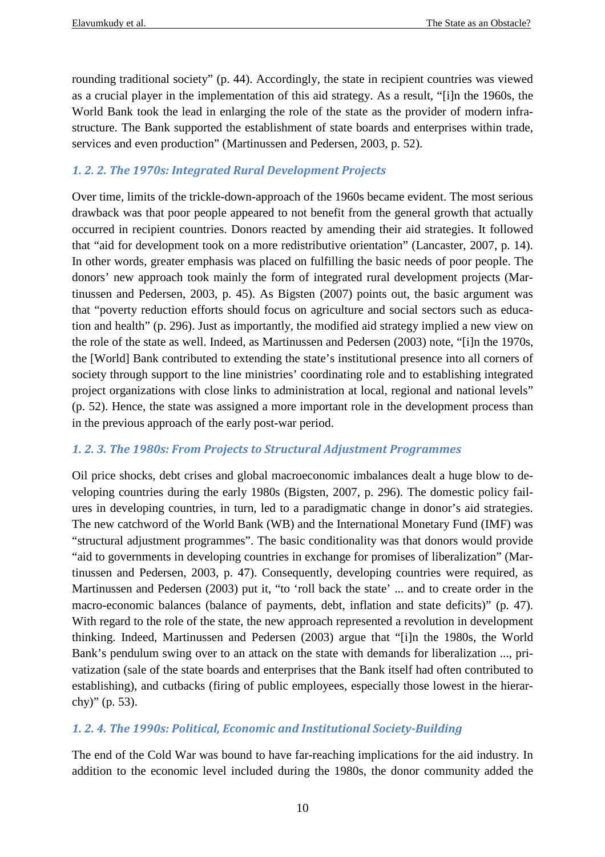rounding traditional society" (p. 44). Accordingly, the state in recipient countries was viewed as a crucial player in the implementation of this aid strategy. As a result, "[i]n the 1960s, the World Bank took the lead in enlarging the role of the state as the provider of modern infrastructure. The Bank supported the establishment of state boards and enterprises within trade, services and even production" (Martinussen and Pedersen, 2003, p. 52).

## *1. 2. 2. The 1970s: Integrated Rural Development Projects*

Over time, limits of the trickle-down-approach of the 1960s became evident. The most serious drawback was that poor people appeared to not benefit from the general growth that actually occurred in recipient countries. Donors reacted by amending their aid strategies. It followed that "aid for development took on a more redistributive orientation" (Lancaster, 2007, p. 14). In other words, greater emphasis was placed on fulfilling the basic needs of poor people. The donors' new approach took mainly the form of integrated rural development projects (Martinussen and Pedersen, 2003, p. 45). As Bigsten (2007) points out, the basic argument was that "poverty reduction efforts should focus on agriculture and social sectors such as education and health" (p. 296). Just as importantly, the modified aid strategy implied a new view on the role of the state as well. Indeed, as Martinussen and Pedersen (2003) note, "[i]n the 1970s, the [World] Bank contributed to extending the state's institutional presence into all corners of society through support to the line ministries' coordinating role and to establishing integrated project organizations with close links to administration at local, regional and national levels" (p. 52). Hence, the state was assigned a more important role in the development process than in the previous approach of the early post-war period.

## *1. 2. 3. The 1980s: From Projects to Structural Adjustment Programmes*

Oil price shocks, debt crises and global macroeconomic imbalances dealt a huge blow to developing countries during the early 1980s (Bigsten, 2007, p. 296). The domestic policy failures in developing countries, in turn, led to a paradigmatic change in donor's aid strategies. The new catchword of the World Bank (WB) and the International Monetary Fund (IMF) was "structural adjustment programmes". The basic conditionality was that donors would provide "aid to governments in developing countries in exchange for promises of liberalization" (Martinussen and Pedersen, 2003, p. 47). Consequently, developing countries were required, as Martinussen and Pedersen (2003) put it, "to 'roll back the state' ... and to create order in the macro-economic balances (balance of payments, debt, inflation and state deficits)" (p. 47). With regard to the role of the state, the new approach represented a revolution in development thinking. Indeed, Martinussen and Pedersen (2003) argue that "[i]n the 1980s, the World Bank's pendulum swing over to an attack on the state with demands for liberalization ..., privatization (sale of the state boards and enterprises that the Bank itself had often contributed to establishing), and cutbacks (firing of public employees, especially those lowest in the hierarchy)" (p. 53).

## *1. 2. 4. The 1990s: Political, Economic and Institutional Society-Building*

The end of the Cold War was bound to have far-reaching implications for the aid industry. In addition to the economic level included during the 1980s, the donor community added the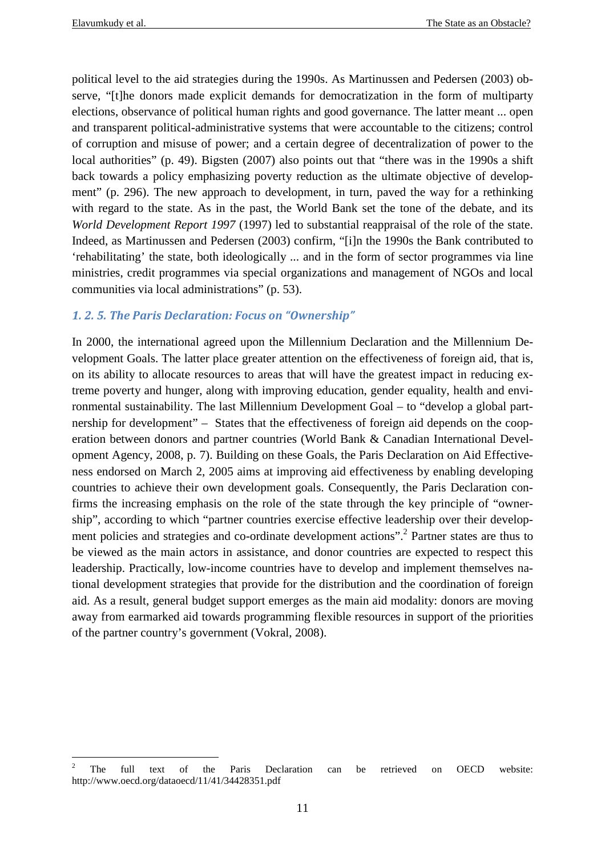political level to the aid strategies during the 1990s. As Martinussen and Pedersen (2003) observe, "[t]he donors made explicit demands for democratization in the form of multiparty elections, observance of political human rights and good governance. The latter meant ... open and transparent political-administrative systems that were accountable to the citizens; control of corruption and misuse of power; and a certain degree of decentralization of power to the local authorities" (p. 49). Bigsten (2007) also points out that "there was in the 1990s a shift back towards a policy emphasizing poverty reduction as the ultimate objective of development" (p. 296). The new approach to development, in turn, paved the way for a rethinking with regard to the state. As in the past, the World Bank set the tone of the debate, and its *World Development Report 1997* (1997) led to substantial reappraisal of the role of the state. Indeed, as Martinussen and Pedersen (2003) confirm, "[i]n the 1990s the Bank contributed to 'rehabilitating' the state, both ideologically ... and in the form of sector programmes via line ministries, credit programmes via special organizations and management of NGOs and local communities via local administrations" (p. 53).

## *1. 2. 5. The Paris Declaration: Focus on "Ownership"*

In 2000, the international agreed upon the Millennium Declaration and the Millennium Development Goals. The latter place greater attention on the effectiveness of foreign aid, that is, on its ability to allocate resources to areas that will have the greatest impact in reducing extreme poverty and hunger, along with improving education, gender equality, health and environmental sustainability. The last Millennium Development Goal – to "develop a global partnership for development" – States that the effectiveness of foreign aid depends on the cooperation between donors and partner countries (World Bank & Canadian International Development Agency, 2008, p. 7). Building on these Goals, the Paris Declaration on Aid Effectiveness endorsed on March 2, 2005 aims at improving aid effectiveness by enabling developing countries to achieve their own development goals. Consequently, the Paris Declaration confirms the increasing emphasis on the role of the state through the key principle of "ownership", according to which "partner countries exercise effective leadership over their development policies and strategies and co-ordinate development actions".<sup>2</sup> Partner states are thus to be viewed as the main actors in assistance, and donor countries are expected to respect this leadership. Practically, low-income countries have to develop and implement themselves national development strategies that provide for the distribution and the coordination of foreign aid. As a result, general budget support emerges as the main aid modality: donors are moving away from earmarked aid towards programming flexible resources in support of the priorities of the partner country's government (Vokral, 2008).

 $\frac{1}{2}$  The full text of the Paris Declaration can be retrieved on OECD website: http://www.oecd.org/dataoecd/11/41/34428351.pdf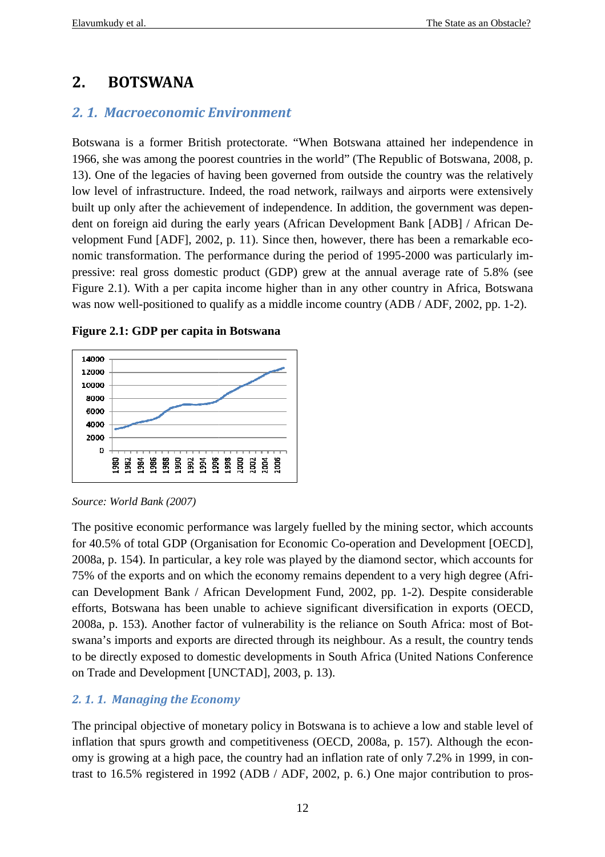## **2. BOTSWANA**

## *2. 1. Macroeconomic Environment nvironment*

Botswana is a former British protectorate. "When Botswana attained her independence in 1966, she was among the poorest countries in the world" (The Republic of Botswana, 2008, p. 13). One of the legacies of having been governed from outside the country was the relatively low level of infrastructure. Indeed, the road network, railways and airports were extensively built up only after the achievement of independence. In addition, the government was dependent on foreign aid during the early years (African Development Bank [ADB] / African Development Fund [ADF], 2002, p. 11). Since then, however, there has been a remarkable economic transformation. The performance during the period of 1995-2000 was particularly impressive: real gross domestic product (GDP) grew at the annual average rate of 5.8% (see Figure 2.1). With a per capita income higher than in any other country in Africa, Botswana was now well-positioned to qualify as a middle income country (ADB / ADF, 2002, pp. 1-2).



**Figure 2.1: GDP per capita in Botswana**

*Source: World Bank (2007)* 

The positive economic performance was largely fuelled by the mining sector, which accounts for 40.5% of total GDP (Organisation for Economic Co-operation and Development [OECD], 2008a, p. 154). In particular, a key role was played by the diamond sector, which accounts for 75% of the exports and on which the economy remains dependent to a very high degree ( can Development Bank / African Development Fund, 2002, pp. 1 1-2). D Despite considerable efforts, Botswana has been unable to achieve significant diversification in exports (OECD, 2008a, p. 153). Another factor of vulnerability is the reliance on South Africa: most of Bo Botswana's imports and exports are directed through its neighbour. As a result, the country tends to be directly exposed to domestic developments in South Africa (United Nations Conference on Trade and Development [UNCTAD], 2003, p. 13). operation and Development [OECD],<br>e diamond sector, which accounts for<br>lependent to a very high degree (Afri-

## 2.1.1. Managing the Economy

The principal objective of monetary policy in Botswana is to achieve a low and stable level of inflation that spurs growth and competitiveness (OECD, 2008a, p. 157). Although the economy is growing at a high pace, the country had an inflation rate of only 7.2% in 1999, in contrast to 16.5% registered in 1992 (ADB / ADF, 2002, p. 6.) One major contribution to pros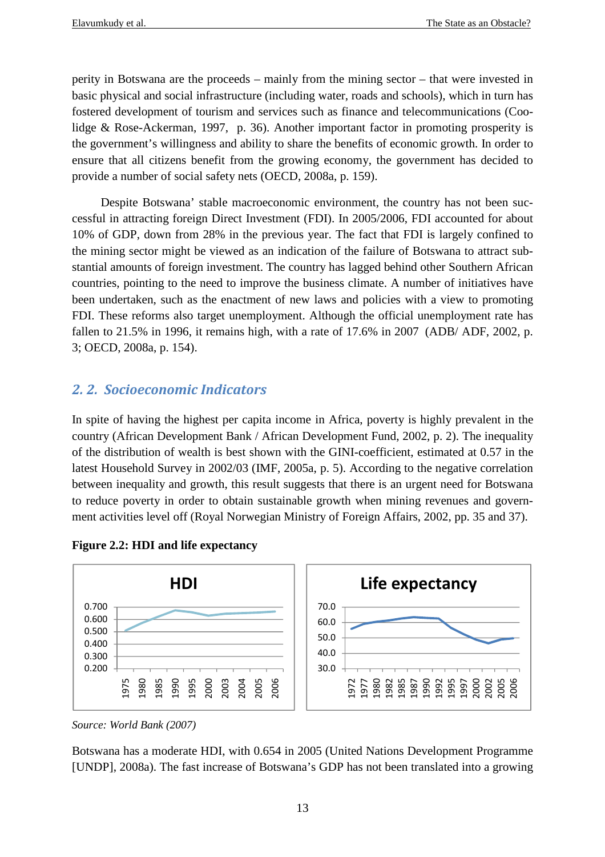perity in Botswana are the proceeds – mainly from the mining sector – that were invested in basic physical and social infrastructure (including water, roads and schools), which in turn has fostered development of tourism and services such as finance and telecommunications (Coolidge & Rose-Ackerman, 1997, p. 36). Another important factor in promoting prosperity is the government's willingness and ability to share the benefits of economic growth. In order to ensure that all citizens benefit from the growing economy, the government has decided to provide a number of social safety nets (OECD, 2008a, p. 159).

Despite Botswana' stable macroeconomic environment, the country has not been successful in attracting foreign Direct Investment (FDI). In 2005/2006, FDI accounted for about 10% of GDP, down from 28% in the previous year. The fact that FDI is largely confined to the mining sector might be viewed as an indication of the failure of Botswana to attract substantial amounts of foreign investment. The country has lagged behind other Southern African countries, pointing to the need to improve the business climate. A number of initiatives have been undertaken, such as the enactment of new laws and policies with a view to promoting FDI. These reforms also target unemployment. Although the official unemployment rate has fallen to 21.5% in 1996, it remains high, with a rate of 17.6% in 2007 (ADB/ ADF, 2002, p. 3; OECD, 2008a, p. 154).

## *2. 2. Socioeconomic Indicators*

In spite of having the highest per capita income in Africa, poverty is highly prevalent in the country (African Development Bank / African Development Fund, 2002, p. 2). The inequality of the distribution of wealth is best shown with the GINI-coefficient, estimated at 0.57 in the latest Household Survey in 2002/03 (IMF, 2005a, p. 5). According to the negative correlation between inequality and growth, this result suggests that there is an urgent need for Botswana to reduce poverty in order to obtain sustainable growth when mining revenues and government activities level off (Royal Norwegian Ministry of Foreign Affairs, 2002, pp. 35 and 37).





*Source: World Bank (2007)*

Botswana has a moderate HDI, with 0.654 in 2005 (United Nations Development Programme [UNDP], 2008a). The fast increase of Botswana's GDP has not been translated into a growing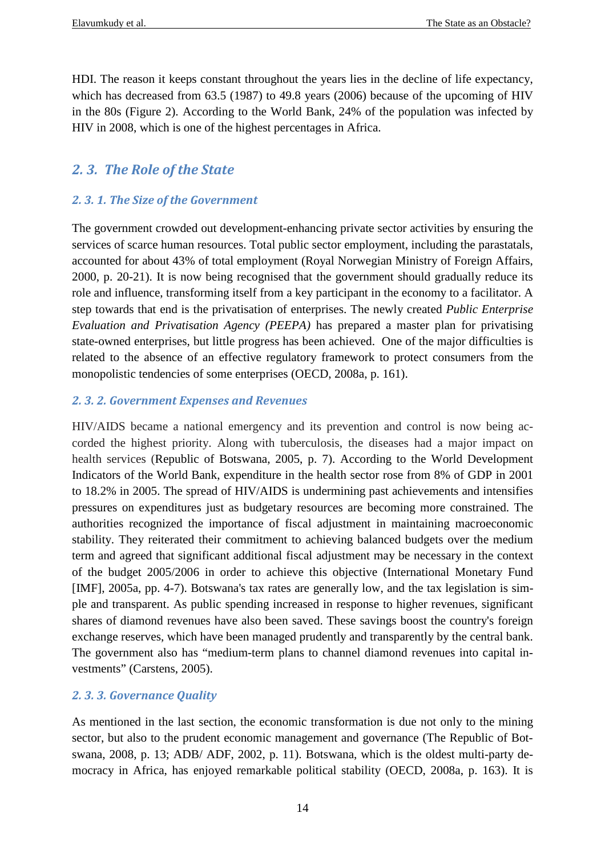HDI. The reason it keeps constant throughout the years lies in the decline of life expectancy, which has decreased from 63.5 (1987) to 49.8 years (2006) because of the upcoming of HIV in the 80s (Figure 2). According to the World Bank, 24% of the population was infected by HIV in 2008, which is one of the highest percentages in Africa.

## *2. 3. The Role of the State*

## *2. 3. 1. The Size of the Government*

The government crowded out development-enhancing private sector activities by ensuring the services of scarce human resources. Total public sector employment, including the parastatals, accounted for about 43% of total employment (Royal Norwegian Ministry of Foreign Affairs, 2000, p. 20-21). It is now being recognised that the government should gradually reduce its role and influence, transforming itself from a key participant in the economy to a facilitator. A step towards that end is the privatisation of enterprises. The newly created *Public Enterprise Evaluation and Privatisation Agency (PEEPA)* has prepared a master plan for privatising state-owned enterprises, but little progress has been achieved. One of the major difficulties is related to the absence of an effective regulatory framework to protect consumers from the monopolistic tendencies of some enterprises (OECD, 2008a, p. 161).

## *2. 3. 2. Government Expenses and Revenues*

HIV/AIDS became a national emergency and its prevention and control is now being accorded the highest priority. Along with tuberculosis, the diseases had a major impact on health services (Republic of Botswana, 2005, p. 7). According to the World Development Indicators of the World Bank, expenditure in the health sector rose from 8% of GDP in 2001 to 18.2% in 2005. The spread of HIV/AIDS is undermining past achievements and intensifies pressures on expenditures just as budgetary resources are becoming more constrained. The authorities recognized the importance of fiscal adjustment in maintaining macroeconomic stability. They reiterated their commitment to achieving balanced budgets over the medium term and agreed that significant additional fiscal adjustment may be necessary in the context of the budget 2005/2006 in order to achieve this objective (International Monetary Fund [IMF], 2005a, pp. 4-7). Botswana's tax rates are generally low, and the tax legislation is simple and transparent. As public spending increased in response to higher revenues, significant shares of diamond revenues have also been saved. These savings boost the country's foreign exchange reserves, which have been managed prudently and transparently by the central bank. The government also has "medium-term plans to channel diamond revenues into capital investments" (Carstens, 2005).

## *2. 3. 3. Governance Quality*

As mentioned in the last section, the economic transformation is due not only to the mining sector, but also to the prudent economic management and governance (The Republic of Botswana, 2008, p. 13; ADB/ ADF, 2002, p. 11). Botswana, which is the oldest multi-party democracy in Africa, has enjoyed remarkable political stability (OECD, 2008a, p. 163). It is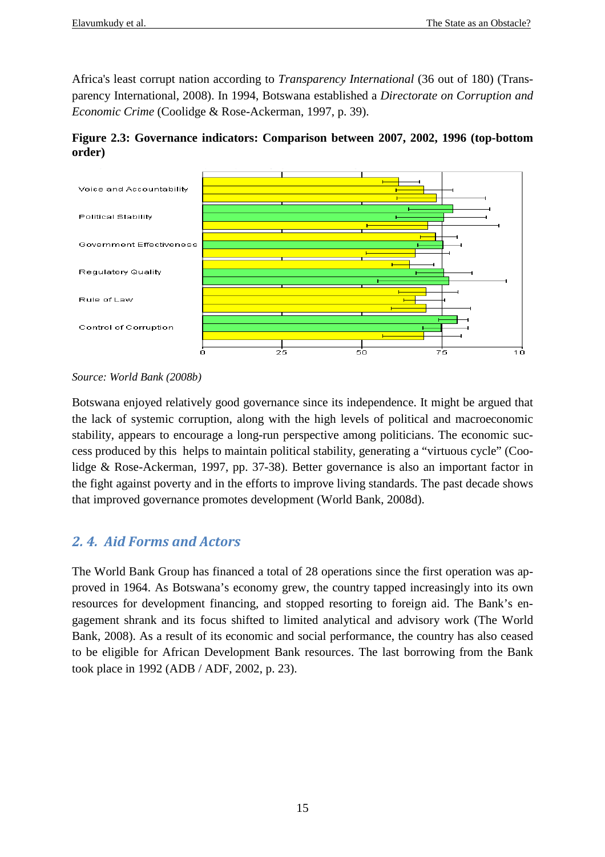Africa's least corrupt nation according to *Transparency International* (36 out of 180) (Transparency International, 2008). In 1994, Botswana established a *Directorate on Corruption and Economic Crime* (Coolidge & Rose-Ackerman, 1997, p. 39).

**Figure 2.3: Governance indicators: Comparison between 2007, 2002, 1996 (top-bottom order)** 



*Source: World Bank (2008b)* 

Botswana enjoyed relatively good governance since its independence. It might be argued that the lack of systemic corruption, along with the high levels of political and macroeconomic stability, appears to encourage a long-run perspective among politicians. The economic success produced by this helps to maintain political stability, generating a "virtuous cycle" (Coolidge & Rose-Ackerman, 1997, pp. 37-38). Better governance is also an important factor in the fight against poverty and in the efforts to improve living standards. The past decade shows that improved governance promotes development (World Bank, 2008d).

## *2. 4. Aid Forms and Actors*

The World Bank Group has financed a total of 28 operations since the first operation was approved in 1964. As Botswana's economy grew, the country tapped increasingly into its own resources for development financing, and stopped resorting to foreign aid. The Bank's engagement shrank and its focus shifted to limited analytical and advisory work (The World Bank, 2008). As a result of its economic and social performance, the country has also ceased to be eligible for African Development Bank resources. The last borrowing from the Bank took place in 1992 (ADB / ADF, 2002, p. 23).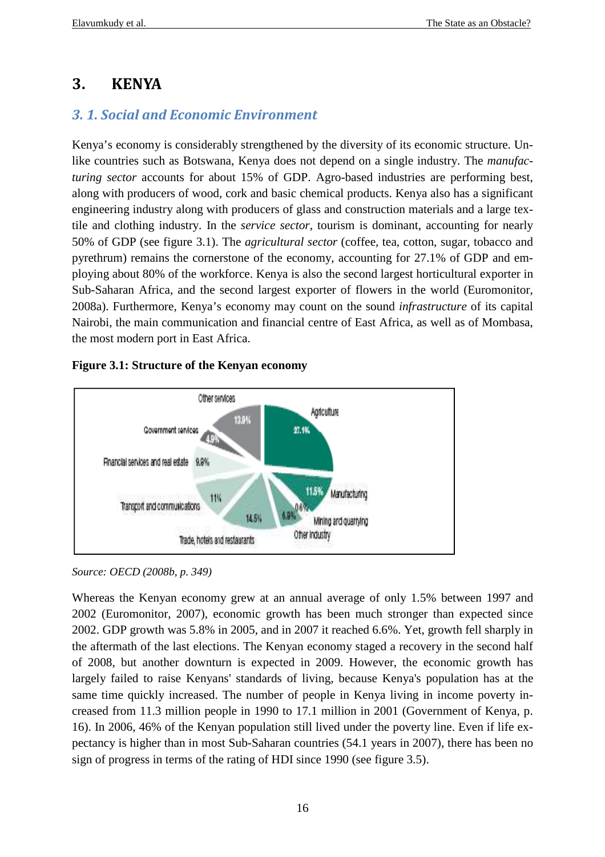## **3. KENYA**

## *3. 1. Social and Economic Environment*

Kenya's economy is considerably strengthened by the diversity of its economic structure. Unlike countries such as Botswana, Kenya does not depend on a single industry. The *manufacturing sector* accounts for about 15% of GDP. Agro-based industries are performing best, along with producers of wood, cork and basic chemical products. Kenya also has a significant engineering industry along with producers of glass and construction materials and a large textile and clothing industry. In the *service sector*, tourism is dominant, accounting for nearly 50% of GDP (see figure 3.1). The *agricultural sector* (coffee, tea, cotton, sugar, tobacco and pyrethrum) remains the cornerstone of the economy, accounting for 27.1% of GDP and employing about 80% of the workforce. Kenya is also the second largest horticultural exporter in Sub-Saharan Africa, and the second largest exporter of flowers in the world (Euromonitor, 2008a). Furthermore, Kenya's economy may count on the sound *infrastructure* of its capital Nairobi, the main communication and financial centre of East Africa, as well as of Mombasa, the most modern port in East Africa.

## **Figure 3.1: Structure of the Kenyan economy**



*Source: OECD (2008b, p. 349)* 

Whereas the Kenyan economy grew at an annual average of only 1.5% between 1997 and 2002 (Euromonitor, 2007), economic growth has been much stronger than expected since 2002. GDP growth was 5.8% in 2005, and in 2007 it reached 6.6%. Yet, growth fell sharply in the aftermath of the last elections. The Kenyan economy staged a recovery in the second half of 2008, but another downturn is expected in 2009. However, the economic growth has largely failed to raise Kenyans' standards of living, because Kenya's population has at the same time quickly increased. The number of people in Kenya living in income poverty increased from 11.3 million people in 1990 to 17.1 million in 2001 (Government of Kenya, p. 16). In 2006, 46% of the Kenyan population still lived under the poverty line. Even if life expectancy is higher than in most Sub-Saharan countries (54.1 years in 2007), there has been no sign of progress in terms of the rating of HDI since 1990 (see figure 3.5).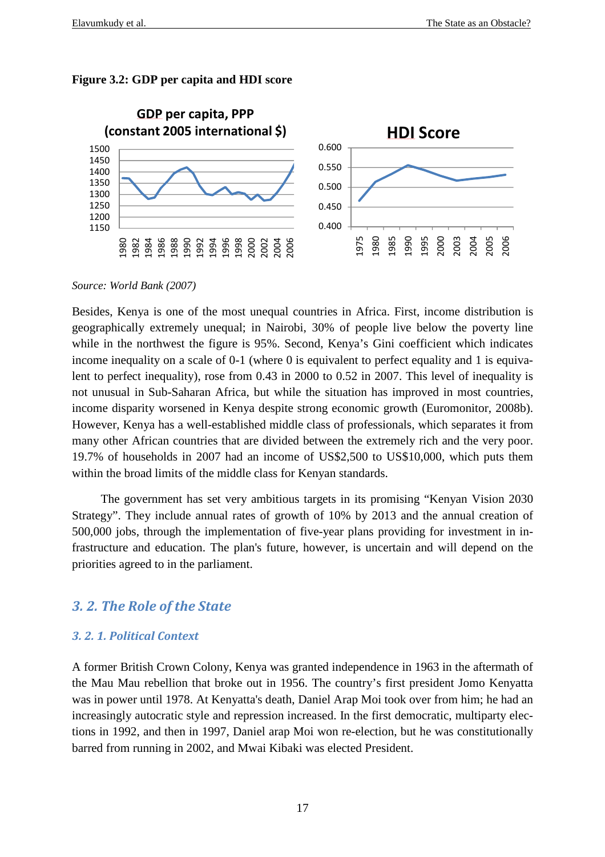



*Source: World Bank (2007)* 

Besides, Kenya is one of the most unequal countries in Africa. First, income distribution is geographically extremely unequal; in Nairobi, 30% of people live below the poverty line while in the northwest the figure is 95%. Second, Kenya's Gini coefficient which indicates income inequality on a scale of 0-1 (where 0 is equivalent to perfect equality and 1 is equivalent to perfect inequality), rose from 0.43 in 2000 to 0.52 in 2007. This level of inequality is not unusual in Sub-Saharan Africa, but while the situation has improved in most countries, income disparity worsened in Kenya despite strong economic growth (Euromonitor, 2008b). However, Kenya has a well-established middle class of professionals, which separates it from many other African countries that are divided between the extremely rich and the very poor. 19.7% of households in 2007 had an income of US\$2,500 to US\$10,000, which puts them within the broad limits of the middle class for Kenyan standards.

The government has set very ambitious targets in its promising "Kenyan Vision 2030 Strategy". They include annual rates of growth of 10% by 2013 and the annual creation of 500,000 jobs, through the implementation of five-year plans providing for investment in infrastructure and education. The plan's future, however, is uncertain and will depend on the priorities agreed to in the parliament.

## *3. 2. The Role of the State*

#### *3. 2. 1. Political Context*

A former British Crown Colony, Kenya was granted independence in 1963 in the aftermath of the Mau Mau rebellion that broke out in 1956. The country's first president Jomo Kenyatta was in power until 1978. At Kenyatta's death, Daniel Arap Moi took over from him; he had an increasingly autocratic style and repression increased. In the first democratic, multiparty elections in 1992, and then in 1997, Daniel arap Moi won re-election, but he was constitutionally barred from running in 2002, and Mwai Kibaki was elected President.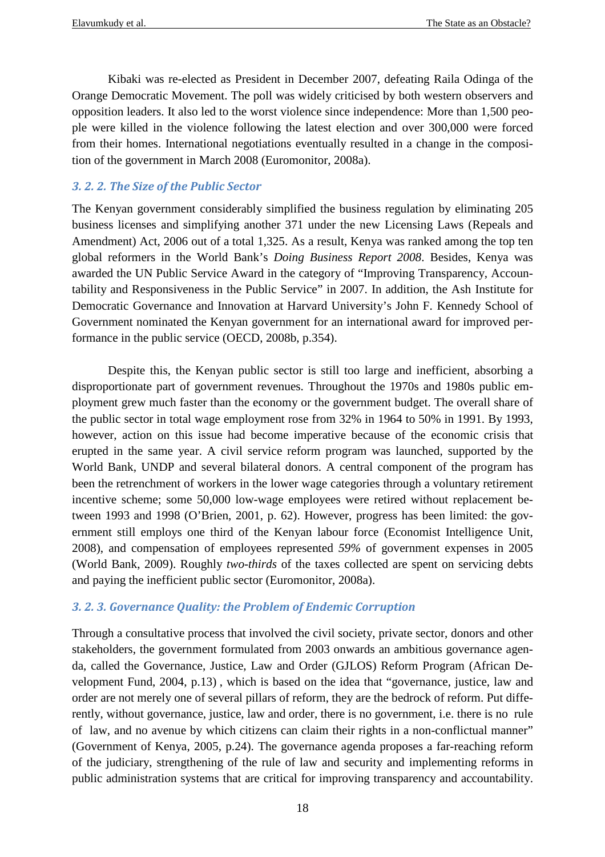Kibaki was re-elected as President in December 2007, defeating Raila Odinga of the Orange Democratic Movement. The poll was widely criticised by both western observers and opposition leaders. It also led to the worst violence since independence: More than 1,500 people were killed in the violence following the latest election and over 300,000 were forced from their homes. International negotiations eventually resulted in a change in the composition of the government in March 2008 (Euromonitor, 2008a).

## *3. 2. 2. The Size of the Public Sector*

The Kenyan government considerably simplified the business regulation by eliminating 205 business licenses and simplifying another 371 under the new Licensing Laws (Repeals and Amendment) Act, 2006 out of a total 1,325. As a result, Kenya was ranked among the top ten global reformers in the World Bank's *Doing Business Report 2008*. Besides, Kenya was awarded the UN Public Service Award in the category of "Improving Transparency, Accountability and Responsiveness in the Public Service" in 2007. In addition, the Ash Institute for Democratic Governance and Innovation at Harvard University's John F. Kennedy School of Government nominated the Kenyan government for an international award for improved performance in the public service (OECD, 2008b, p.354).

 Despite this, the Kenyan public sector is still too large and inefficient, absorbing a disproportionate part of government revenues. Throughout the 1970s and 1980s public employment grew much faster than the economy or the government budget. The overall share of the public sector in total wage employment rose from 32% in 1964 to 50% in 1991. By 1993, however, action on this issue had become imperative because of the economic crisis that erupted in the same year. A civil service reform program was launched, supported by the World Bank, UNDP and several bilateral donors. A central component of the program has been the retrenchment of workers in the lower wage categories through a voluntary retirement incentive scheme; some 50,000 low-wage employees were retired without replacement between 1993 and 1998 (O'Brien, 2001, p. 62). However, progress has been limited: the government still employs one third of the Kenyan labour force (Economist Intelligence Unit, 2008), and compensation of employees represented *59%* of government expenses in 2005 (World Bank, 2009). Roughly *two-thirds* of the taxes collected are spent on servicing debts and paying the inefficient public sector (Euromonitor, 2008a).

## *3. 2. 3. Governance Quality: the Problem of Endemic Corruption*

Through a consultative process that involved the civil society, private sector, donors and other stakeholders, the government formulated from 2003 onwards an ambitious governance agenda, called the Governance, Justice, Law and Order (GJLOS) Reform Program (African Development Fund, 2004, p.13) , which is based on the idea that "governance, justice, law and order are not merely one of several pillars of reform, they are the bedrock of reform. Put differently, without governance, justice, law and order, there is no government, i.e. there is no rule of law, and no avenue by which citizens can claim their rights in a non-conflictual manner" (Government of Kenya, 2005, p.24). The governance agenda proposes a far-reaching reform of the judiciary, strengthening of the rule of law and security and implementing reforms in public administration systems that are critical for improving transparency and accountability.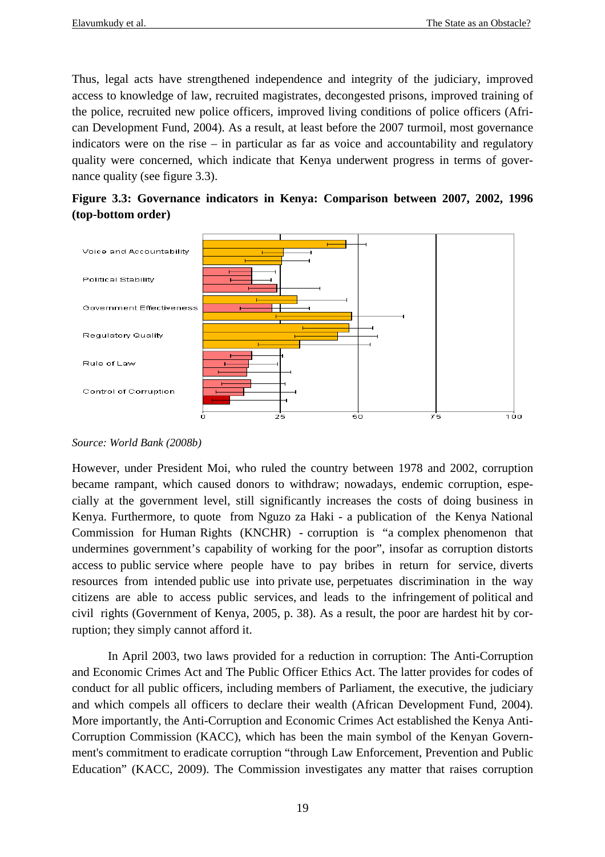Thus, legal acts have strengthened independence and integrity of the judiciary, improved access to knowledge of law, recruited magistrates, decongested prisons, improved training of the police, recruited new police officers, improved living conditions of police officers (African Development Fund, 2004). As a result, at least before the 2007 turmoil, most governance indicators were on the rise – in particular as far as voice and accountability and regulatory quality were concerned, which indicate that Kenya underwent progress in terms of governance quality (see figure 3.3).





#### *Source: World Bank (2008b)*

However, under President Moi, who ruled the country between 1978 and 2002, corruption became rampant, which caused donors to withdraw; nowadays, endemic corruption, especially at the government level, still significantly increases the costs of doing business in Kenya. Furthermore, to quote from Nguzo za Haki - a publication of the Kenya National Commission for Human Rights (KNCHR) - corruption is "a complex phenomenon that undermines government's capability of working for the poor", insofar as corruption distorts access to public service where people have to pay bribes in return for service, diverts resources from intended public use into private use, perpetuates discrimination in the way citizens are able to access public services, and leads to the infringement of political and civil rights (Government of Kenya, 2005, p. 38). As a result, the poor are hardest hit by corruption; they simply cannot afford it.

 In April 2003, two laws provided for a reduction in corruption: The Anti-Corruption and Economic Crimes Act and The Public Officer Ethics Act. The latter provides for codes of conduct for all public officers, including members of Parliament, the executive, the judiciary and which compels all officers to declare their wealth (African Development Fund, 2004). More importantly, the Anti-Corruption and Economic Crimes Act established the Kenya Anti-Corruption Commission (KACC), which has been the main symbol of the Kenyan Government's commitment to eradicate corruption "through Law Enforcement, Prevention and Public Education" (KACC, 2009). The Commission investigates any matter that raises corruption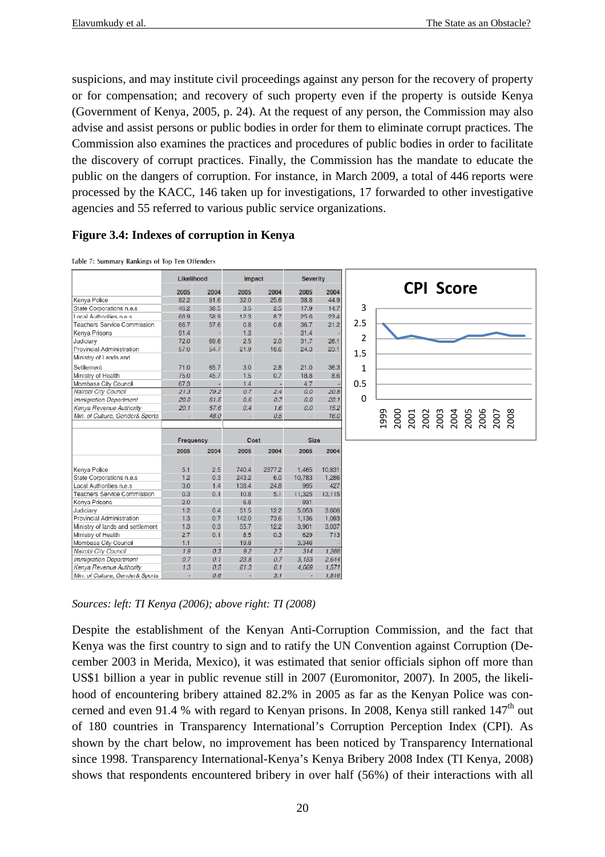suspicions, and may institute civil proceedings against any person for the recovery of property or for compensation; and recovery of such property even if the property is outside Kenya (Government of Kenya, 2005, p. 24). At the request of any person, the Commission may also advise and assist persons or public bodies in order for them to eliminate corrupt practices. The Commission also examines the practices and procedures of public bodies in order to facilitate the discovery of corrupt practices. Finally, the Commission has the mandate to educate the public on the dangers of corruption. For instance, in March 2009, a total of 446 reports were processed by the KACC, 146 taken up for investigations, 17 forwarded to other investigative agencies and 55 referred to various public service organizations.

#### **Figure 3.4: Indexes of corruption in Kenya**

Table 7: Summary Rankings of Top Ten Offenders

|                                  | Likelihood |      | Impact |        | Severity                 |         |              |                |      |      |      |      |  |                              |      |
|----------------------------------|------------|------|--------|--------|--------------------------|---------|--------------|----------------|------|------|------|------|--|------------------------------|------|
|                                  | 2005       | 2004 | 2005   | 2004   | 2005                     | 2004    |              |                |      |      |      |      |  | <b>CPI Score</b>             |      |
| Kenya Police                     | 82.2       | 81.6 | 32.0   | 25.6   | 38.8                     | 44.9    |              |                |      |      |      |      |  |                              |      |
| State Corporations n.e.s         | 46.2       | 38.5 | 3.5    | 2.5    | 17.9                     | 14.7    |              | 3              |      |      |      |      |  |                              |      |
| Local Authorities nie s          | 66.9       | 589  | 123    | 87     | 256                      | 234     |              |                |      |      |      |      |  |                              |      |
| Teachers Service Commission      | 66.7       | 57.6 | 0.8    | 0.8    | 36.7                     | 21.2    |              | 2.5            |      |      |      |      |  |                              |      |
| Kenya Prisons                    | 91.4       |      | 1.3    |        | 31.4                     |         |              |                |      |      |      |      |  |                              |      |
| Judiciary                        | 72.0       | 69.6 | 2.5    | 2.0    | 31.7                     | 26.1    |              | $\overline{2}$ |      |      |      |      |  |                              |      |
| Provincial Administration        | 57.0       | 54.7 | 21.9   | 18.6   | 24.3                     | 23.1    |              |                |      |      |      |      |  |                              |      |
| Ministry of Lands and            |            |      |        |        |                          |         | 1.5          |                |      |      |      |      |  |                              |      |
| Settlement                       | 71.0       | 65.7 | 3.0    | 2.8    | 21.0                     | 36.3    | $\mathbf{1}$ |                |      |      |      |      |  |                              |      |
| Ministry of Health               | 75.0       | 45.7 | 1.5    | 0.7    | 18.8                     | 8.6     |              |                |      |      |      |      |  |                              |      |
| Mombasa City Council             | 67.3       |      | 1.4    |        | 4.7                      |         | 0.5          |                |      |      |      |      |  |                              |      |
| Nairobl City Council             | 21.3       | 79.2 | 0.7    | 2.4    | 0.0                      | 20.8    |              |                |      |      |      |      |  |                              |      |
| <b>Immigration Department</b>    | 20.0       | 61.5 | 0.6    | 0.7    | 0.0                      | 23.1    | 0            |                |      |      |      |      |  |                              |      |
| Kenya Revenue Authority          | 20.1       | 57.6 | 0.4    | 1.6    | 0.0                      | 15.2    |              |                |      |      |      |      |  |                              |      |
| Min. of Culture, Gender& Sports  |            | 48.0 |        | 0.5    |                          | 16.0    |              |                | 1999 | 2000 | 2001 | 2002 |  | 2003<br>2004<br>2005<br>2006 | 2007 |
|                                  |            |      |        |        |                          |         |              |                |      |      |      |      |  |                              |      |
|                                  |            |      |        |        |                          |         |              |                |      |      |      |      |  |                              |      |
|                                  | Frequency  |      | Cost   |        | Size                     |         |              |                |      |      |      |      |  |                              |      |
|                                  | 2005       | 2004 | 2005   | 2004   | 2005                     | 2004    |              |                |      |      |      |      |  |                              |      |
|                                  |            |      |        |        |                          |         |              |                |      |      |      |      |  |                              |      |
| Kenya Police                     | 5.1        | 2.5  | 740.4  | 2377.2 | 1,465                    | 10.831  |              |                |      |      |      |      |  |                              |      |
| State Corporations n.e.s         | 1.2        | 0.3  | 243.2  | 6.0    | 10.783                   | 1,286   |              |                |      |      |      |      |  |                              |      |
| Local Authorities n.e.s          | 3.0        | 1.4  | 138.4  | 24.8   | 995                      | 427     |              |                |      |      |      |      |  |                              |      |
| Teachers Service Commission      | 0.3        | 0.1  | 10.8   | 5.1    | 11.325                   | 13, 115 |              |                |      |      |      |      |  |                              |      |
| Kenya Prisons                    | 2.0        |      | 6.8    |        | 931                      |         |              |                |      |      |      |      |  |                              |      |
| Judiciary                        | 1.2        | 0.4  | 51.5   | 12.2   | 5.053                    | 3.606   |              |                |      |      |      |      |  |                              |      |
| Provincial Administration        | 1.3        | 0.7  | 142.0  | 73.6   | 1,136                    | 1,093   |              |                |      |      |      |      |  |                              |      |
| Ministry of lands and settlement | 1.3        | 0.3  | 55.7   | 12.2   | 3.901                    | 3.037   |              |                |      |      |      |      |  |                              |      |
| Ministry of Health               | 2.7        | 0.1  | 8.5    | 0.3    | 629                      | 713     |              |                |      |      |      |      |  |                              |      |
| Mombasa City Council             | 1.1        |      | 19.8   | - 1    | 3.346                    |         |              |                |      |      |      |      |  |                              |      |
| Nairobi City Council             | 1.9        | 0.3  | 9.2    | 2.7    | 314                      | 1.266   |              |                |      |      |      |      |  |                              |      |
| Immigration Department           | 0.7        | 0.1  | 23.8   | 0.7    | 3.153                    | 2.644   |              |                |      |      |      |      |  |                              |      |
| Kenya Revenue Authority          | 1.3        | 0.5  | 61.3   | 6.1    | 4.069                    | 1.571   |              |                |      |      |      |      |  |                              |      |
| Min. of Culture, Gender& Sports  |            | 0.6  | ×,     | 3.1    | $\overline{\phantom{a}}$ | 1,816   |              |                |      |      |      |      |  |                              |      |

*Sources: left: TI Kenya (2006); above right: TI (2008)* 

Despite the establishment of the Kenyan Anti-Corruption Commission, and the fact that Kenya was the first country to sign and to ratify the UN Convention against Corruption (December 2003 in Merida, Mexico), it was estimated that senior officials siphon off more than US\$1 billion a year in public revenue still in 2007 (Euromonitor, 2007). In 2005, the likelihood of encountering bribery attained 82.2% in 2005 as far as the Kenyan Police was concerned and even 91.4 % with regard to Kenyan prisons. In 2008, Kenya still ranked  $147<sup>th</sup>$  out of 180 countries in Transparency International's Corruption Perception Index (CPI). As shown by the chart below, no improvement has been noticed by Transparency International since 1998. Transparency International-Kenya's Kenya Bribery 2008 Index (TI Kenya, 2008) shows that respondents encountered bribery in over half (56%) of their interactions with all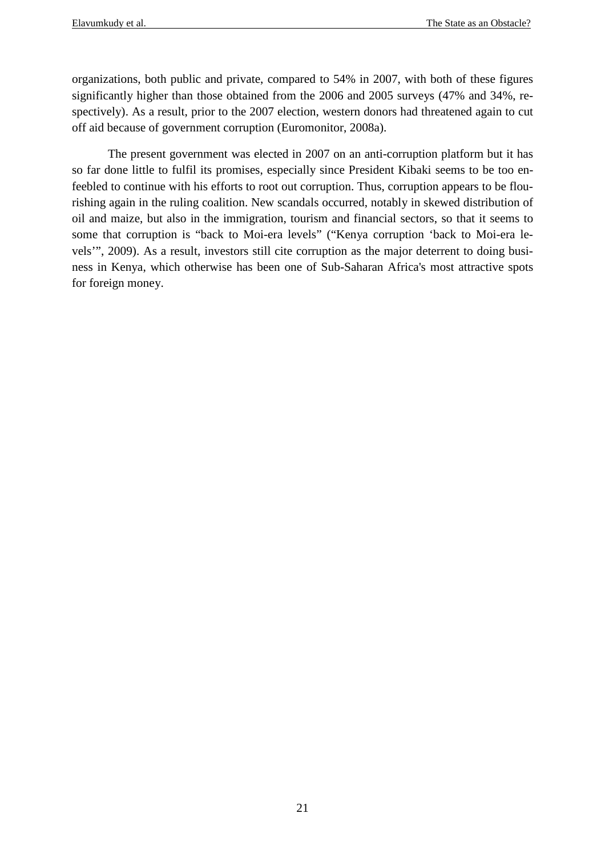organizations, both public and private, compared to 54% in 2007, with both of these figures significantly higher than those obtained from the 2006 and 2005 surveys (47% and 34%, respectively). As a result, prior to the 2007 election, western donors had threatened again to cut off aid because of government corruption (Euromonitor, 2008a).

The present government was elected in 2007 on an anti-corruption platform but it has so far done little to fulfil its promises, especially since President Kibaki seems to be too enfeebled to continue with his efforts to root out corruption. Thus, corruption appears to be flourishing again in the ruling coalition. New scandals occurred, notably in skewed distribution of oil and maize, but also in the immigration, tourism and financial sectors, so that it seems to some that corruption is "back to Moi-era levels" ("Kenya corruption 'back to Moi-era levels'", 2009). As a result, investors still cite corruption as the major deterrent to doing business in Kenya, which otherwise has been one of Sub-Saharan Africa's most attractive spots for foreign money.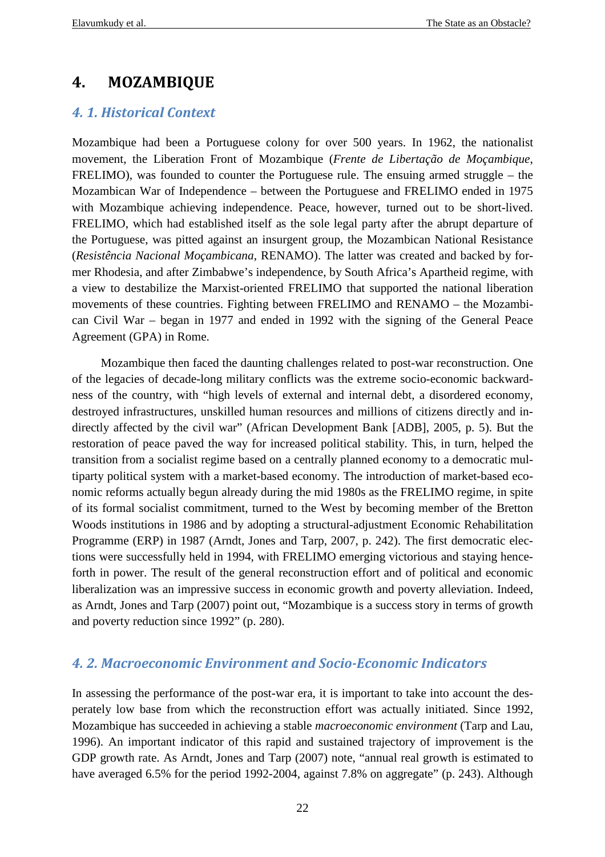## **4. MOZAMBIQUE**

## *4. 1. Historical Context*

Mozambique had been a Portuguese colony for over 500 years. In 1962, the nationalist movement, the Liberation Front of Mozambique (*Frente de Libertação de Moçambique*, FRELIMO), was founded to counter the Portuguese rule. The ensuing armed struggle – the Mozambican War of Independence – between the Portuguese and FRELIMO ended in 1975 with Mozambique achieving independence. Peace, however, turned out to be short-lived. FRELIMO, which had established itself as the sole legal party after the abrupt departure of the Portuguese, was pitted against an insurgent group, the Mozambican National Resistance (*Resistência Nacional Moçambicana*, RENAMO). The latter was created and backed by former Rhodesia, and after Zimbabwe's independence, by South Africa's Apartheid regime, with a view to destabilize the Marxist-oriented FRELIMO that supported the national liberation movements of these countries. Fighting between FRELIMO and RENAMO – the Mozambican Civil War – began in 1977 and ended in 1992 with the signing of the General Peace Agreement (GPA) in Rome.

Mozambique then faced the daunting challenges related to post-war reconstruction. One of the legacies of decade-long military conflicts was the extreme socio-economic backwardness of the country, with "high levels of external and internal debt, a disordered economy, destroyed infrastructures, unskilled human resources and millions of citizens directly and indirectly affected by the civil war" (African Development Bank [ADB], 2005, p. 5). But the restoration of peace paved the way for increased political stability. This, in turn, helped the transition from a socialist regime based on a centrally planned economy to a democratic multiparty political system with a market-based economy. The introduction of market-based economic reforms actually begun already during the mid 1980s as the FRELIMO regime, in spite of its formal socialist commitment, turned to the West by becoming member of the Bretton Woods institutions in 1986 and by adopting a structural-adjustment Economic Rehabilitation Programme (ERP) in 1987 (Arndt, Jones and Tarp, 2007, p. 242). The first democratic elections were successfully held in 1994, with FRELIMO emerging victorious and staying henceforth in power. The result of the general reconstruction effort and of political and economic liberalization was an impressive success in economic growth and poverty alleviation. Indeed, as Arndt, Jones and Tarp (2007) point out, "Mozambique is a success story in terms of growth and poverty reduction since 1992" (p. 280).

## *4. 2. Macroeconomic Environment and Socio-Economic Indicators*

In assessing the performance of the post-war era, it is important to take into account the desperately low base from which the reconstruction effort was actually initiated. Since 1992, Mozambique has succeeded in achieving a stable *macroeconomic environment* (Tarp and Lau, 1996). An important indicator of this rapid and sustained trajectory of improvement is the GDP growth rate. As Arndt, Jones and Tarp (2007) note, "annual real growth is estimated to have averaged 6.5% for the period 1992-2004, against 7.8% on aggregate" (p. 243). Although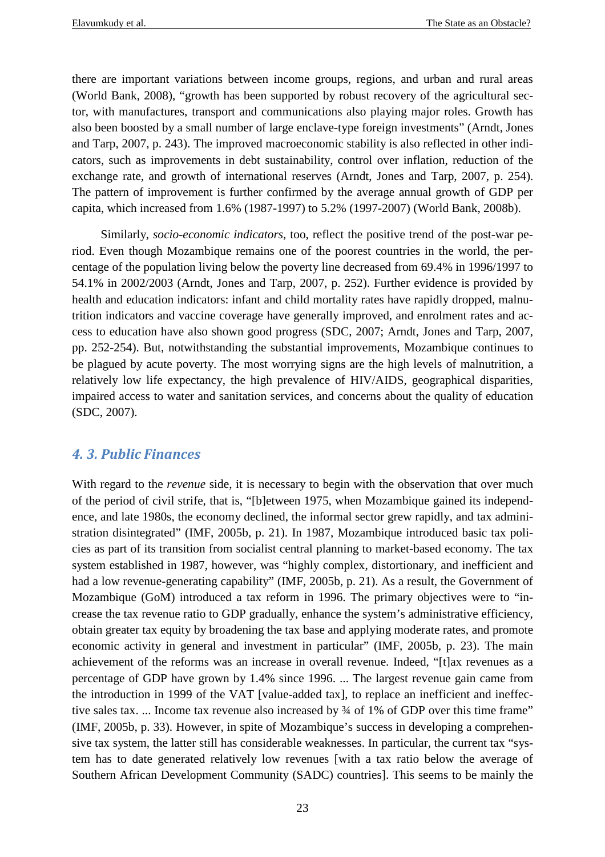there are important variations between income groups, regions, and urban and rural areas (World Bank, 2008), "growth has been supported by robust recovery of the agricultural sector, with manufactures, transport and communications also playing major roles. Growth has also been boosted by a small number of large enclave-type foreign investments" (Arndt, Jones and Tarp, 2007, p. 243). The improved macroeconomic stability is also reflected in other indicators, such as improvements in debt sustainability, control over inflation, reduction of the exchange rate, and growth of international reserves (Arndt, Jones and Tarp, 2007, p. 254). The pattern of improvement is further confirmed by the average annual growth of GDP per capita, which increased from 1.6% (1987-1997) to 5.2% (1997-2007) (World Bank, 2008b).

Similarly, *socio-economic indicators*, too, reflect the positive trend of the post-war period. Even though Mozambique remains one of the poorest countries in the world, the percentage of the population living below the poverty line decreased from 69.4% in 1996/1997 to 54.1% in 2002/2003 (Arndt, Jones and Tarp, 2007, p. 252). Further evidence is provided by health and education indicators: infant and child mortality rates have rapidly dropped, malnutrition indicators and vaccine coverage have generally improved, and enrolment rates and access to education have also shown good progress (SDC, 2007; Arndt, Jones and Tarp, 2007, pp. 252-254). But, notwithstanding the substantial improvements, Mozambique continues to be plagued by acute poverty. The most worrying signs are the high levels of malnutrition, a relatively low life expectancy, the high prevalence of HIV/AIDS, geographical disparities, impaired access to water and sanitation services, and concerns about the quality of education (SDC, 2007).

## *4. 3. Public Finances*

With regard to the *revenue* side, it is necessary to begin with the observation that over much of the period of civil strife, that is, "[b]etween 1975, when Mozambique gained its independence, and late 1980s, the economy declined, the informal sector grew rapidly, and tax administration disintegrated" (IMF, 2005b, p. 21). In 1987, Mozambique introduced basic tax policies as part of its transition from socialist central planning to market-based economy. The tax system established in 1987, however, was "highly complex, distortionary, and inefficient and had a low revenue-generating capability" (IMF, 2005b, p. 21). As a result, the Government of Mozambique (GoM) introduced a tax reform in 1996. The primary objectives were to "increase the tax revenue ratio to GDP gradually, enhance the system's administrative efficiency, obtain greater tax equity by broadening the tax base and applying moderate rates, and promote economic activity in general and investment in particular" (IMF, 2005b, p. 23). The main achievement of the reforms was an increase in overall revenue. Indeed, "[t]ax revenues as a percentage of GDP have grown by 1.4% since 1996. ... The largest revenue gain came from the introduction in 1999 of the VAT [value-added tax], to replace an inefficient and ineffective sales tax. ... Income tax revenue also increased by  $\frac{3}{4}$  of 1% of GDP over this time frame" (IMF, 2005b, p. 33). However, in spite of Mozambique's success in developing a comprehensive tax system, the latter still has considerable weaknesses. In particular, the current tax "system has to date generated relatively low revenues [with a tax ratio below the average of Southern African Development Community (SADC) countries]. This seems to be mainly the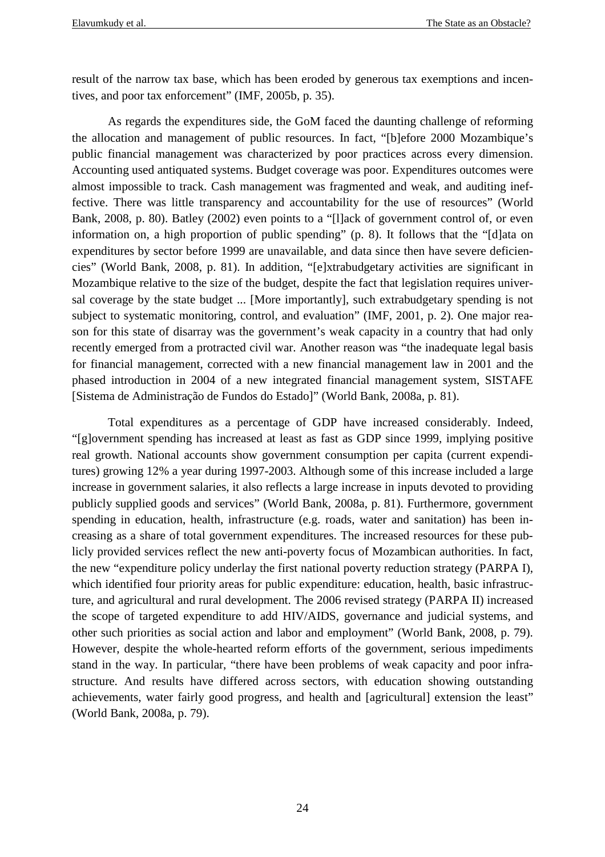result of the narrow tax base, which has been eroded by generous tax exemptions and incentives, and poor tax enforcement" (IMF, 2005b, p. 35).

As regards the expenditures side, the GoM faced the daunting challenge of reforming the allocation and management of public resources. In fact, "[b]efore 2000 Mozambique's public financial management was characterized by poor practices across every dimension. Accounting used antiquated systems. Budget coverage was poor. Expenditures outcomes were almost impossible to track. Cash management was fragmented and weak, and auditing ineffective. There was little transparency and accountability for the use of resources" (World Bank, 2008, p. 80). Batley (2002) even points to a "[l]ack of government control of, or even information on, a high proportion of public spending" (p. 8). It follows that the "[d]ata on expenditures by sector before 1999 are unavailable, and data since then have severe deficiencies" (World Bank, 2008, p. 81). In addition, "[e]xtrabudgetary activities are significant in Mozambique relative to the size of the budget, despite the fact that legislation requires universal coverage by the state budget ... [More importantly], such extrabudgetary spending is not subject to systematic monitoring, control, and evaluation" (IMF, 2001, p. 2). One major reason for this state of disarray was the government's weak capacity in a country that had only recently emerged from a protracted civil war. Another reason was "the inadequate legal basis for financial management, corrected with a new financial management law in 2001 and the phased introduction in 2004 of a new integrated financial management system, SISTAFE [Sistema de Administração de Fundos do Estado]" (World Bank, 2008a, p. 81).

Total expenditures as a percentage of GDP have increased considerably. Indeed, "[g]overnment spending has increased at least as fast as GDP since 1999, implying positive real growth. National accounts show government consumption per capita (current expenditures) growing 12% a year during 1997-2003. Although some of this increase included a large increase in government salaries, it also reflects a large increase in inputs devoted to providing publicly supplied goods and services" (World Bank, 2008a, p. 81). Furthermore, government spending in education, health, infrastructure (e.g. roads, water and sanitation) has been increasing as a share of total government expenditures. The increased resources for these publicly provided services reflect the new anti-poverty focus of Mozambican authorities. In fact, the new "expenditure policy underlay the first national poverty reduction strategy (PARPA I), which identified four priority areas for public expenditure: education, health, basic infrastructure, and agricultural and rural development. The 2006 revised strategy (PARPA II) increased the scope of targeted expenditure to add HIV/AIDS, governance and judicial systems, and other such priorities as social action and labor and employment" (World Bank, 2008, p. 79). However, despite the whole-hearted reform efforts of the government, serious impediments stand in the way. In particular, "there have been problems of weak capacity and poor infrastructure. And results have differed across sectors, with education showing outstanding achievements, water fairly good progress, and health and [agricultural] extension the least" (World Bank, 2008a, p. 79).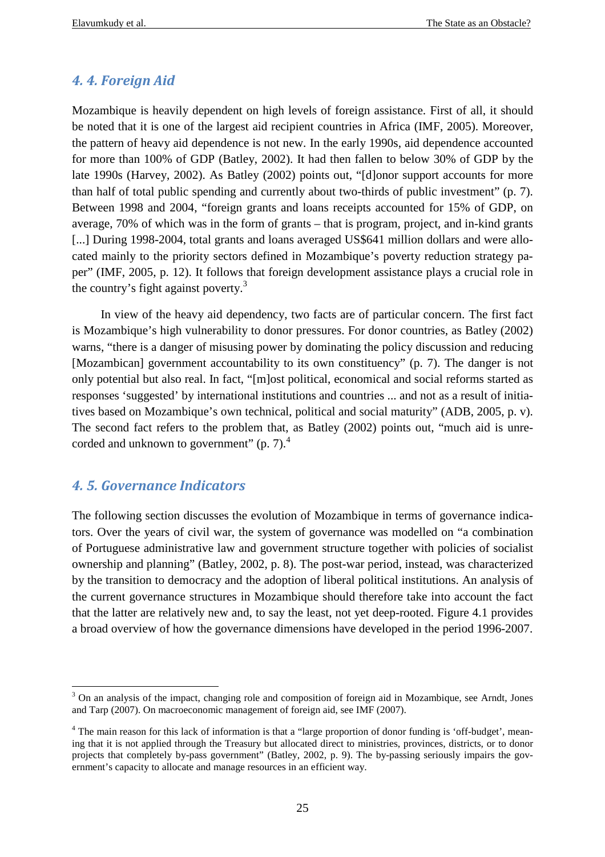## *4. 4. Foreign Aid*

Mozambique is heavily dependent on high levels of foreign assistance. First of all, it should be noted that it is one of the largest aid recipient countries in Africa (IMF, 2005). Moreover, the pattern of heavy aid dependence is not new. In the early 1990s, aid dependence accounted for more than 100% of GDP (Batley, 2002). It had then fallen to below 30% of GDP by the late 1990s (Harvey, 2002). As Batley (2002) points out, "[d]onor support accounts for more than half of total public spending and currently about two-thirds of public investment" (p. 7). Between 1998 and 2004, "foreign grants and loans receipts accounted for 15% of GDP, on average, 70% of which was in the form of grants – that is program, project, and in-kind grants [...] During 1998-2004, total grants and loans averaged US\$641 million dollars and were allocated mainly to the priority sectors defined in Mozambique's poverty reduction strategy paper" (IMF, 2005, p. 12). It follows that foreign development assistance plays a crucial role in the country's fight against poverty. $3$ 

In view of the heavy aid dependency, two facts are of particular concern. The first fact is Mozambique's high vulnerability to donor pressures. For donor countries, as Batley (2002) warns, "there is a danger of misusing power by dominating the policy discussion and reducing [Mozambican] government accountability to its own constituency" (p. 7). The danger is not only potential but also real. In fact, "[m]ost political, economical and social reforms started as responses 'suggested' by international institutions and countries ... and not as a result of initiatives based on Mozambique's own technical, political and social maturity" (ADB, 2005, p. v). The second fact refers to the problem that, as Batley (2002) points out, "much aid is unrecorded and unknown to government"  $(p, 7)$ .<sup>4</sup>

## *4. 5. Governance Indicators*

The following section discusses the evolution of Mozambique in terms of governance indicators. Over the years of civil war, the system of governance was modelled on "a combination of Portuguese administrative law and government structure together with policies of socialist ownership and planning" (Batley, 2002, p. 8). The post-war period, instead, was characterized by the transition to democracy and the adoption of liberal political institutions. An analysis of the current governance structures in Mozambique should therefore take into account the fact that the latter are relatively new and, to say the least, not yet deep-rooted. Figure 4.1 provides a broad overview of how the governance dimensions have developed in the period 1996-2007.

 $\overline{a}$ <sup>3</sup> On an analysis of the impact, changing role and composition of foreign aid in Mozambique, see Arndt, Jones and Tarp (2007). On macroeconomic management of foreign aid, see IMF (2007).

<sup>&</sup>lt;sup>4</sup> The main reason for this lack of information is that a "large proportion of donor funding is 'off-budget', meaning that it is not applied through the Treasury but allocated direct to ministries, provinces, districts, or to donor projects that completely by-pass government" (Batley, 2002, p. 9). The by-passing seriously impairs the government's capacity to allocate and manage resources in an efficient way.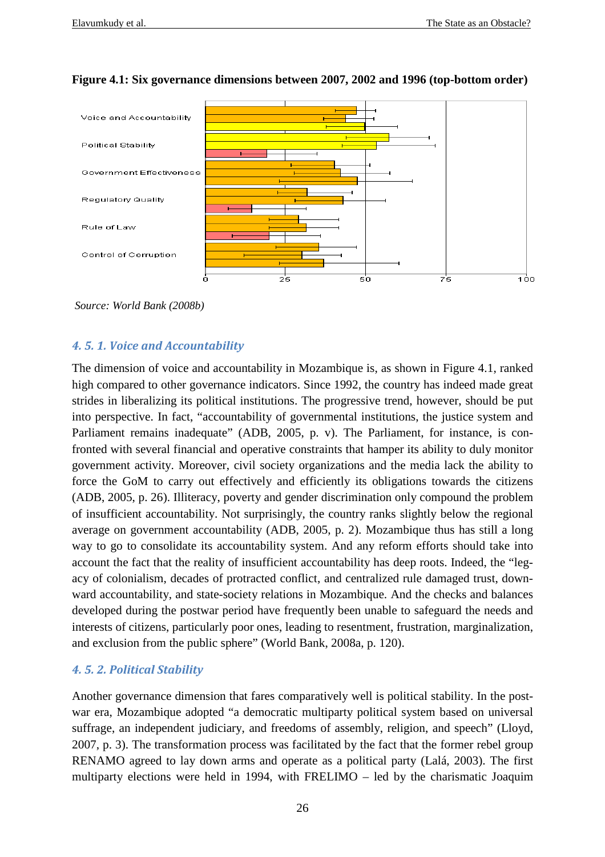

#### **Figure 4.1: Six governance dimensions between 2007, 2002 and 1996 (top-bottom order)**

 *Source: World Bank (2008b)* 

#### *4. 5. 1. Voice and Accountability*

The dimension of voice and accountability in Mozambique is, as shown in Figure 4.1, ranked high compared to other governance indicators. Since 1992, the country has indeed made great strides in liberalizing its political institutions. The progressive trend, however, should be put into perspective. In fact, "accountability of governmental institutions, the justice system and Parliament remains inadequate" (ADB, 2005, p. v). The Parliament, for instance, is confronted with several financial and operative constraints that hamper its ability to duly monitor government activity. Moreover, civil society organizations and the media lack the ability to force the GoM to carry out effectively and efficiently its obligations towards the citizens (ADB, 2005, p. 26). Illiteracy, poverty and gender discrimination only compound the problem of insufficient accountability. Not surprisingly, the country ranks slightly below the regional average on government accountability (ADB, 2005, p. 2). Mozambique thus has still a long way to go to consolidate its accountability system. And any reform efforts should take into account the fact that the reality of insufficient accountability has deep roots. Indeed, the "legacy of colonialism, decades of protracted conflict, and centralized rule damaged trust, downward accountability, and state-society relations in Mozambique. And the checks and balances developed during the postwar period have frequently been unable to safeguard the needs and interests of citizens, particularly poor ones, leading to resentment, frustration, marginalization, and exclusion from the public sphere" (World Bank, 2008a, p. 120).

## *4. 5. 2. Political Stability*

Another governance dimension that fares comparatively well is political stability. In the postwar era, Mozambique adopted "a democratic multiparty political system based on universal suffrage, an independent judiciary, and freedoms of assembly, religion, and speech" (Lloyd, 2007, p. 3). The transformation process was facilitated by the fact that the former rebel group RENAMO agreed to lay down arms and operate as a political party (Lalá, 2003). The first multiparty elections were held in 1994, with FRELIMO – led by the charismatic Joaquim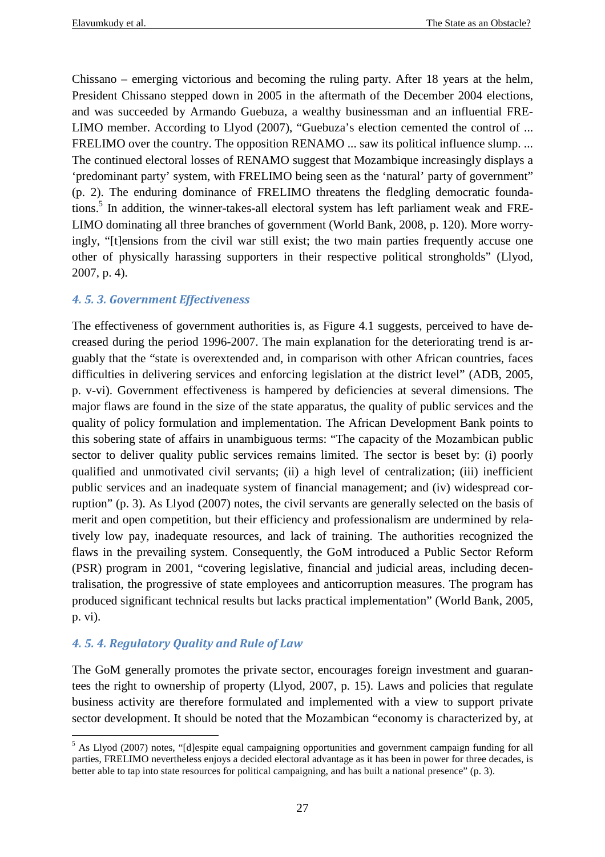Chissano – emerging victorious and becoming the ruling party. After 18 years at the helm, President Chissano stepped down in 2005 in the aftermath of the December 2004 elections, and was succeeded by Armando Guebuza, a wealthy businessman and an influential FRE-LIMO member. According to Llyod (2007), "Guebuza's election cemented the control of ... FRELIMO over the country. The opposition RENAMO ... saw its political influence slump. ... The continued electoral losses of RENAMO suggest that Mozambique increasingly displays a 'predominant party' system, with FRELIMO being seen as the 'natural' party of government" (p. 2). The enduring dominance of FRELIMO threatens the fledgling democratic foundations.<sup>5</sup> In addition, the winner-takes-all electoral system has left parliament weak and FRE-LIMO dominating all three branches of government (World Bank, 2008, p. 120). More worryingly, "[t]ensions from the civil war still exist; the two main parties frequently accuse one other of physically harassing supporters in their respective political strongholds" (Llyod, 2007, p. 4).

## *4. 5. 3. Government Effectiveness*

The effectiveness of government authorities is, as Figure 4.1 suggests, perceived to have decreased during the period 1996-2007. The main explanation for the deteriorating trend is arguably that the "state is overextended and, in comparison with other African countries, faces difficulties in delivering services and enforcing legislation at the district level" (ADB, 2005, p. v-vi). Government effectiveness is hampered by deficiencies at several dimensions. The major flaws are found in the size of the state apparatus, the quality of public services and the quality of policy formulation and implementation. The African Development Bank points to this sobering state of affairs in unambiguous terms: "The capacity of the Mozambican public sector to deliver quality public services remains limited. The sector is beset by: (i) poorly qualified and unmotivated civil servants; (ii) a high level of centralization; (iii) inefficient public services and an inadequate system of financial management; and (iv) widespread corruption" (p. 3). As Llyod (2007) notes, the civil servants are generally selected on the basis of merit and open competition, but their efficiency and professionalism are undermined by relatively low pay, inadequate resources, and lack of training. The authorities recognized the flaws in the prevailing system. Consequently, the GoM introduced a Public Sector Reform (PSR) program in 2001, "covering legislative, financial and judicial areas, including decentralisation, the progressive of state employees and anticorruption measures. The program has produced significant technical results but lacks practical implementation" (World Bank, 2005, p. vi).

## *4. 5. 4. Regulatory Quality and Rule of Law*

The GoM generally promotes the private sector, encourages foreign investment and guarantees the right to ownership of property (Llyod, 2007, p. 15). Laws and policies that regulate business activity are therefore formulated and implemented with a view to support private sector development. It should be noted that the Mozambican "economy is characterized by, at

 $\overline{a}$ <sup>5</sup> As Llyod (2007) notes, "[d]espite equal campaigning opportunities and government campaign funding for all parties, FRELIMO nevertheless enjoys a decided electoral advantage as it has been in power for three decades, is better able to tap into state resources for political campaigning, and has built a national presence" (p. 3).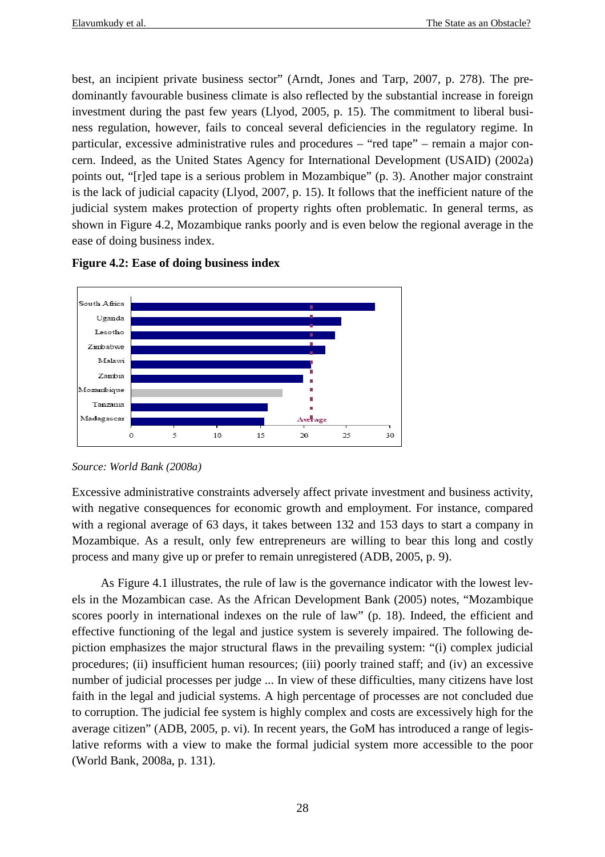best, an incipient private business sector" (Arndt, Jones and Tarp, 2007, p. 278). The predominantly favourable business climate is also reflected by the substantial increase in foreign investment during the past few years (Llyod, 2005, p. 15). The commitment to liberal business regulation, however, fails to conceal several deficiencies in the regulatory regime. In particular, excessive administrative rules and procedures – "red tape" – remain a major concern. Indeed, as the United States Agency for International Development (USAID) (2002a) points out, "[r]ed tape is a serious problem in Mozambique" (p. 3). Another major constraint is the lack of judicial capacity (Llyod, 2007, p. 15). It follows that the inefficient nature of the judicial system makes protection of property rights often problematic. In general terms, as shown in Figure 4.2, Mozambique ranks poorly and is even below the regional average in the ease of doing business index.



**Figure 4.2: Ease of doing business index**

Excessive administrative constraints adversely affect private investment and business activity, with negative consequences for economic growth and employment. For instance, compared with a regional average of 63 days, it takes between 132 and 153 days to start a company in Mozambique. As a result, only few entrepreneurs are willing to bear this long and costly process and many give up or prefer to remain unregistered (ADB, 2005, p. 9).

As Figure 4.1 illustrates, the rule of law is the governance indicator with the lowest levels in the Mozambican case. As the African Development Bank (2005) notes, "Mozambique scores poorly in international indexes on the rule of law" (p. 18). Indeed, the efficient and effective functioning of the legal and justice system is severely impaired. The following depiction emphasizes the major structural flaws in the prevailing system: "(i) complex judicial procedures; (ii) insufficient human resources; (iii) poorly trained staff; and (iv) an excessive number of judicial processes per judge ... In view of these difficulties, many citizens have lost faith in the legal and judicial systems. A high percentage of processes are not concluded due to corruption. The judicial fee system is highly complex and costs are excessively high for the average citizen" (ADB, 2005, p. vi). In recent years, the GoM has introduced a range of legislative reforms with a view to make the formal judicial system more accessible to the poor (World Bank, 2008a, p. 131).

*Source: World Bank (2008a)*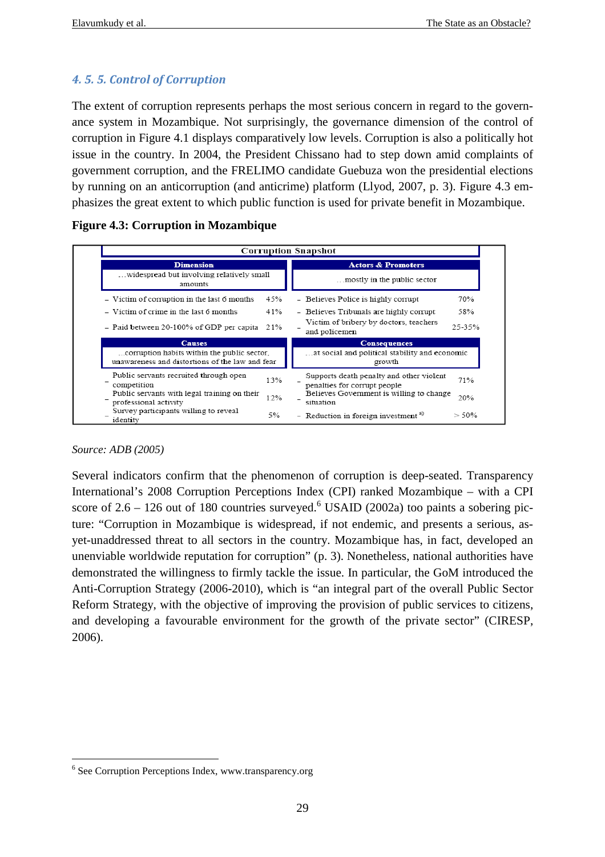## *4. 5. 5. Control of Corruption*

The extent of corruption represents perhaps the most serious concern in regard to the governance system in Mozambique. Not surprisingly, the governance dimension of the control of corruption in Figure 4.1 displays comparatively low levels. Corruption is also a politically hot issue in the country. In 2004, the President Chissano had to step down amid complaints of government corruption, and the FRELIMO candidate Guebuza won the presidential elections by running on an anticorruption (and anticrime) platform (Llyod, 2007, p. 3). Figure 4.3 emphasizes the great extent to which public function is used for private benefit in Mozambique.

|  |  | <b>Figure 4.3: Corruption in Mozambique</b> |
|--|--|---------------------------------------------|

|                                                                          | <b>Corruption Snapshot</b>                                        |
|--------------------------------------------------------------------------|-------------------------------------------------------------------|
| <b>Dimension</b><br>widespread but involving relatively small<br>amounts | <b>Actors &amp; Promoters</b><br>mostly in the public sector.     |
| - Victim of corruption in the last 6 months                              | 70%                                                               |
| 45%                                                                      | - Believes Police is highly corrupt                               |
| - Victim of crime in the last 6 months                                   | 58%                                                               |
| 41%                                                                      | - Believes Tribunals are highly corrupt                           |
| - Paid between 20-100% of GDP per capita 21%                             | Victim of bribery by doctors, teachers<br>25-35%<br>and policemen |
| <b>Causes</b>                                                            | <b>Consequences</b>                                               |
| corruption habits within the public sector,                              | at social and political stability and economic                    |
| unawareness and distortions of the law and fear                          | growth                                                            |
| Public servants recruited through open                                   | Supports death penalty and other violent                          |
| 13%                                                                      | 71%                                                               |
| competition                                                              | penalties for corrupt people                                      |
| Public servants with legal training on their                             | Believes Government is willing to change                          |
| 12%                                                                      | 20%                                                               |
| professional activity                                                    | situation                                                         |
| Survey participants willing to reveal<br>5%<br>identity                  | - Reduction in foreign investment <sup>a)</sup><br>> 50%          |

#### *Source: ADB (2005)*

 $\overline{a}$ 

Several indicators confirm that the phenomenon of corruption is deep-seated. Transparency International's 2008 Corruption Perceptions Index (CPI) ranked Mozambique – with a CPI score of  $2.6 - 126$  out of 180 countries surveyed.<sup>6</sup> USAID (2002a) too paints a sobering picture: "Corruption in Mozambique is widespread, if not endemic, and presents a serious, asyet-unaddressed threat to all sectors in the country. Mozambique has, in fact, developed an unenviable worldwide reputation for corruption" (p. 3). Nonetheless, national authorities have demonstrated the willingness to firmly tackle the issue. In particular, the GoM introduced the Anti-Corruption Strategy (2006-2010), which is "an integral part of the overall Public Sector Reform Strategy, with the objective of improving the provision of public services to citizens, and developing a favourable environment for the growth of the private sector" (CIRESP, 2006).

<sup>6</sup> See Corruption Perceptions Index, www.transparency.org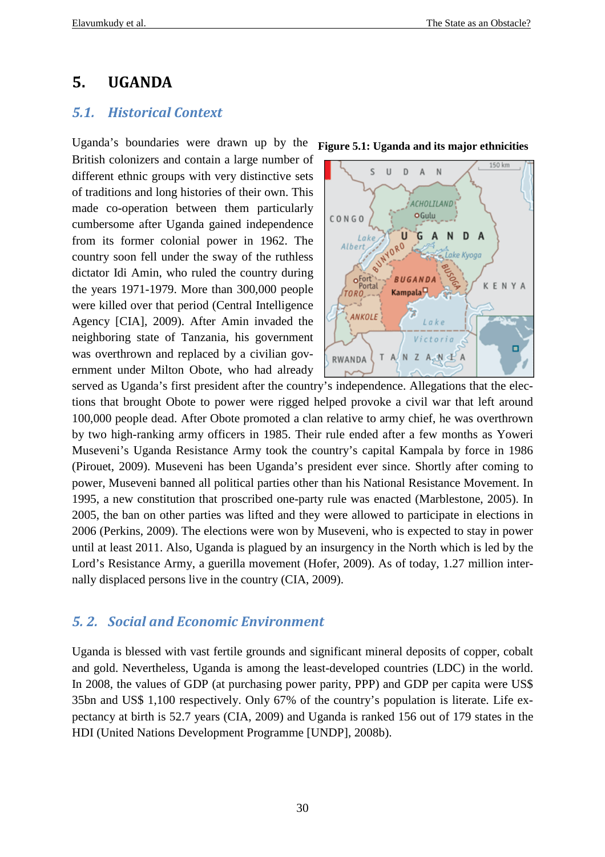## **5. UGANDA**

## *5.1. Historical Context*

Uganda's boundaries were drawn up by the British colonizers and contain a large number of different ethnic groups with very distinctive sets of traditions and long histories of their own. This made co-operation between them particularly cumbersome after Uganda gained independence from its former colonial power in 1962. The country soon fell under the sway of the ruthless dictator Idi Amin, who ruled the country during the years 1971-1979. More than 300,000 people were killed over that period (Central Intelligence Agency [CIA], 2009). After Amin invaded the neighboring state of Tanzania, his government was overthrown and replaced by a civilian government under Milton Obote, who had already **Figure 5.1: Uganda and its major ethnicities** 



served as Uganda's first president after the country's independence. Allegations that the elections that brought Obote to power were rigged helped provoke a civil war that left around 100,000 people dead. After Obote promoted a clan relative to army chief, he was overthrown by two high-ranking army officers in 1985. Their rule ended after a few months as Yoweri Museveni's Uganda Resistance Army took the country's capital Kampala by force in 1986 (Pirouet, 2009). Museveni has been Uganda's president ever since. Shortly after coming to power, Museveni banned all political parties other than his National Resistance Movement. In 1995, a new constitution that proscribed one-party rule was enacted (Marblestone, 2005). In 2005, the ban on other parties was lifted and they were allowed to participate in elections in 2006 (Perkins, 2009). The elections were won by Museveni, who is expected to stay in power until at least 2011. Also, Uganda is plagued by an insurgency in the North which is led by the Lord's Resistance Army, a guerilla movement (Hofer, 2009). As of today, 1.27 million internally displaced persons live in the country (CIA, 2009).

## *5. 2. Social and Economic Environment*

Uganda is blessed with vast fertile grounds and significant mineral deposits of copper, cobalt and gold. Nevertheless, Uganda is among the least-developed countries (LDC) in the world. In 2008, the values of GDP (at purchasing power parity, PPP) and GDP per capita were US\$ 35bn and US\$ 1,100 respectively. Only 67% of the country's population is literate. Life expectancy at birth is 52.7 years (CIA, 2009) and Uganda is ranked 156 out of 179 states in the HDI (United Nations Development Programme [UNDP], 2008b).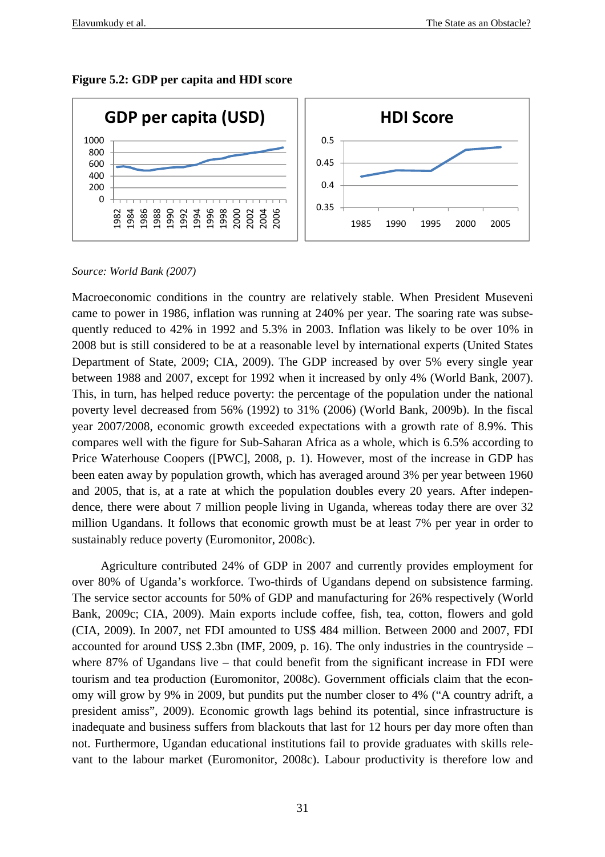

#### **Figure 5.2: GDP per capita and HDI score**

#### *Source: World Bank (2007)*

Macroeconomic conditions in the country are relatively stable. When President Museveni came to power in 1986, inflation was running at 240% per year. The soaring rate was subsequently reduced to 42% in 1992 and 5.3% in 2003. Inflation was likely to be over 10% in 2008 but is still considered to be at a reasonable level by international experts (United States Department of State, 2009; CIA, 2009). The GDP increased by over 5% every single year between 1988 and 2007, except for 1992 when it increased by only 4% (World Bank, 2007). This, in turn, has helped reduce poverty: the percentage of the population under the national poverty level decreased from 56% (1992) to 31% (2006) (World Bank, 2009b). In the fiscal year 2007/2008, economic growth exceeded expectations with a growth rate of 8.9%. This compares well with the figure for Sub-Saharan Africa as a whole, which is 6.5% according to Price Waterhouse Coopers ([PWC], 2008, p. 1). However, most of the increase in GDP has been eaten away by population growth, which has averaged around 3% per year between 1960 and 2005, that is, at a rate at which the population doubles every 20 years. After independence, there were about 7 million people living in Uganda, whereas today there are over 32 million Ugandans. It follows that economic growth must be at least 7% per year in order to sustainably reduce poverty (Euromonitor, 2008c).

Agriculture contributed 24% of GDP in 2007 and currently provides employment for over 80% of Uganda's workforce. Two-thirds of Ugandans depend on subsistence farming. The service sector accounts for 50% of GDP and manufacturing for 26% respectively (World Bank, 2009c; CIA, 2009). Main exports include coffee, fish, tea, cotton, flowers and gold (CIA, 2009). In 2007, net FDI amounted to US\$ 484 million. Between 2000 and 2007, FDI accounted for around US\$ 2.3bn (IMF, 2009, p. 16). The only industries in the countryside – where 87% of Ugandans live – that could benefit from the significant increase in FDI were tourism and tea production (Euromonitor, 2008c). Government officials claim that the economy will grow by 9% in 2009, but pundits put the number closer to 4% ("A country adrift, a president amiss", 2009). Economic growth lags behind its potential, since infrastructure is inadequate and business suffers from blackouts that last for 12 hours per day more often than not. Furthermore, Ugandan educational institutions fail to provide graduates with skills relevant to the labour market (Euromonitor, 2008c). Labour productivity is therefore low and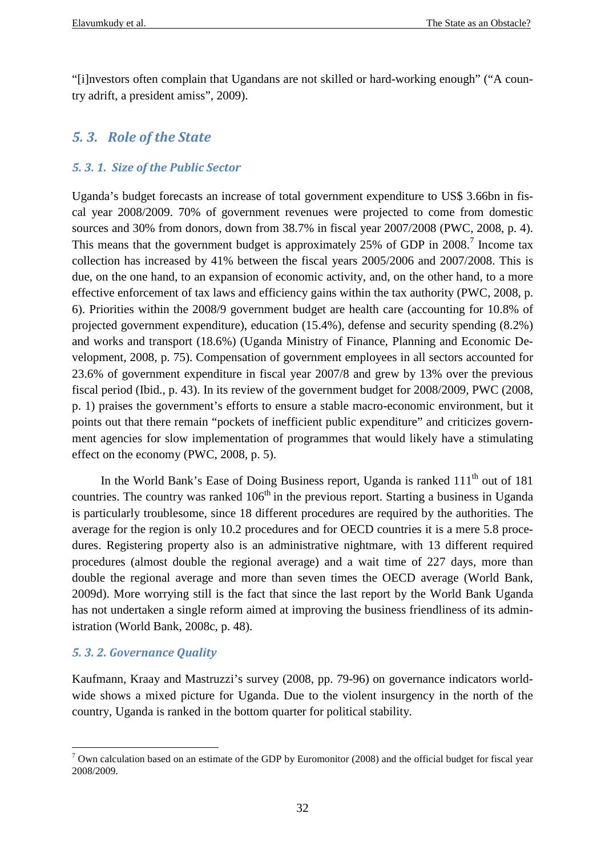"[i]nvestors often complain that Ugandans are not skilled or hard-working enough" ("A country adrift, a president amiss", 2009).

## *5. 3. Role of the State*

## *5. 3. 1. Size of the Public Sector*

Uganda's budget forecasts an increase of total government expenditure to US\$ 3.66bn in fiscal year 2008/2009. 70% of government revenues were projected to come from domestic sources and 30% from donors, down from 38.7% in fiscal year 2007/2008 (PWC, 2008, p. 4). This means that the government budget is approximately 25% of GDP in  $2008$ .<sup>7</sup> Income tax collection has increased by 41% between the fiscal years 2005/2006 and 2007/2008. This is due, on the one hand, to an expansion of economic activity, and, on the other hand, to a more effective enforcement of tax laws and efficiency gains within the tax authority (PWC, 2008, p. 6). Priorities within the 2008/9 government budget are health care (accounting for 10.8% of projected government expenditure), education (15.4%), defense and security spending (8.2%) and works and transport (18.6%) (Uganda Ministry of Finance, Planning and Economic Development, 2008, p. 75). Compensation of government employees in all sectors accounted for 23.6% of government expenditure in fiscal year 2007/8 and grew by 13% over the previous fiscal period (Ibid., p. 43). In its review of the government budget for 2008/2009, PWC (2008, p. 1) praises the government's efforts to ensure a stable macro-economic environment, but it points out that there remain "pockets of inefficient public expenditure" and criticizes government agencies for slow implementation of programmes that would likely have a stimulating effect on the economy (PWC, 2008, p. 5).

In the World Bank's Ease of Doing Business report, Uganda is ranked 111<sup>th</sup> out of 181 countries. The country was ranked  $106<sup>th</sup>$  in the previous report. Starting a business in Uganda is particularly troublesome, since 18 different procedures are required by the authorities. The average for the region is only 10.2 procedures and for OECD countries it is a mere 5.8 procedures. Registering property also is an administrative nightmare, with 13 different required procedures (almost double the regional average) and a wait time of 227 days, more than double the regional average and more than seven times the OECD average (World Bank, 2009d). More worrying still is the fact that since the last report by the World Bank Uganda has not undertaken a single reform aimed at improving the business friendliness of its administration (World Bank, 2008c, p. 48).

## *5. 3. 2. Governance Quality*

Kaufmann, Kraay and Mastruzzi's survey (2008, pp. 79-96) on governance indicators worldwide shows a mixed picture for Uganda. Due to the violent insurgency in the north of the country, Uganda is ranked in the bottom quarter for political stability.

<sup>&</sup>lt;sup>7</sup> Own calculation based on an estimate of the GDP by Euromonitor (2008) and the official budget for fiscal year 2008/2009.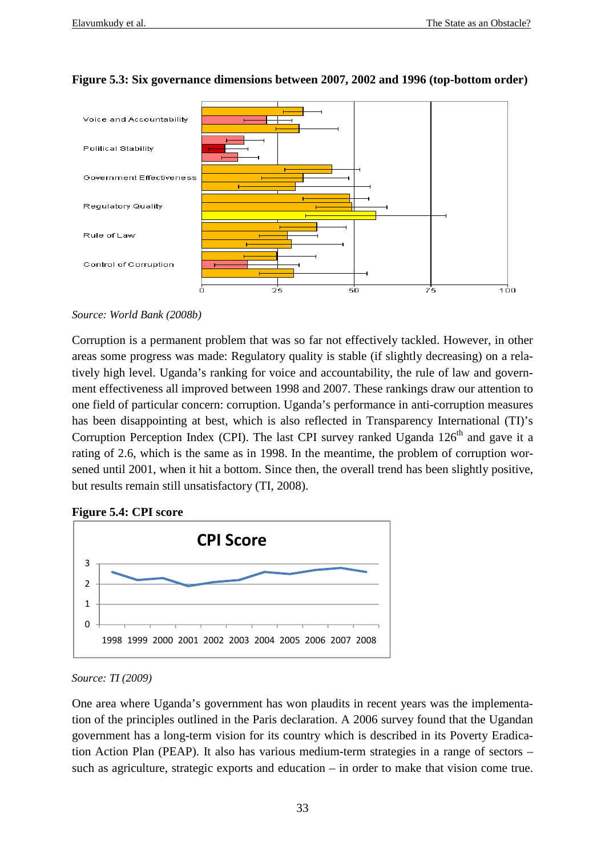

## **Figure 5.3: Six governance dimensions between 2007, 2002 and 1996 (top-bottom order)**

Corruption is a permanent problem that was so far not effectively tackled. However, in other areas some progress was made: Regulatory quality is stable (if slightly decreasing) on a relatively high level. Uganda's ranking for voice and accountability, the rule of law and government effectiveness all improved between 1998 and 2007. These rankings draw our attention to one field of particular concern: corruption. Uganda's performance in anti-corruption measures has been disappointing at best, which is also reflected in Transparency International (TI)'s Corruption Perception Index (CPI). The last CPI survey ranked Uganda  $126<sup>th</sup>$  and gave it a rating of 2.6, which is the same as in 1998. In the meantime, the problem of corruption worsened until 2001, when it hit a bottom. Since then, the overall trend has been slightly positive, but results remain still unsatisfactory (TI, 2008).

#### **Figure 5.4: CPI score**



*Source: TI (2009)*

One area where Uganda's government has won plaudits in recent years was the implementation of the principles outlined in the Paris declaration. A 2006 survey found that the Ugandan government has a long-term vision for its country which is described in its Poverty Eradication Action Plan (PEAP). It also has various medium-term strategies in a range of sectors – such as agriculture, strategic exports and education – in order to make that vision come true.

*Source: World Bank (2008b)*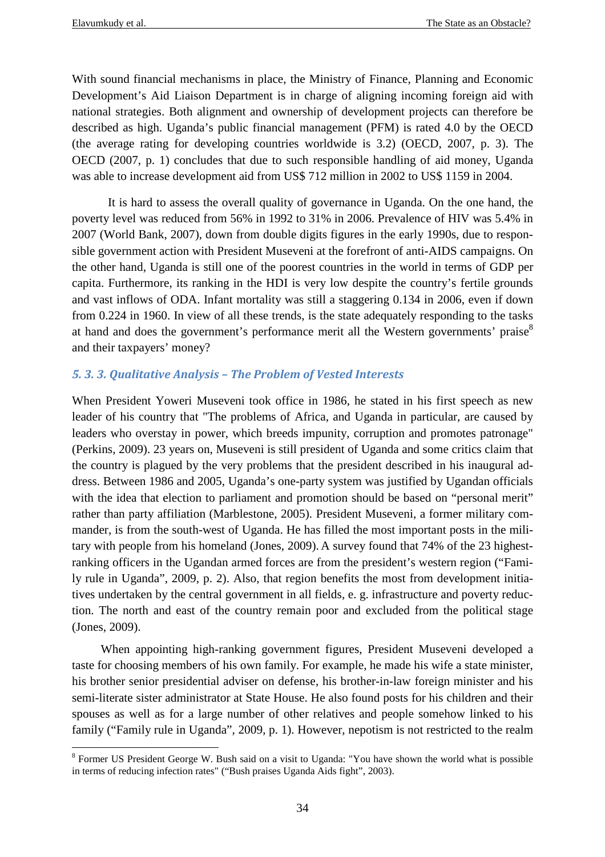With sound financial mechanisms in place, the Ministry of Finance, Planning and Economic Development's Aid Liaison Department is in charge of aligning incoming foreign aid with national strategies. Both alignment and ownership of development projects can therefore be described as high. Uganda's public financial management (PFM) is rated 4.0 by the OECD (the average rating for developing countries worldwide is 3.2) (OECD, 2007, p. 3). The OECD (2007, p. 1) concludes that due to such responsible handling of aid money, Uganda was able to increase development aid from US\$ 712 million in 2002 to US\$ 1159 in 2004.

It is hard to assess the overall quality of governance in Uganda. On the one hand, the poverty level was reduced from 56% in 1992 to 31% in 2006. Prevalence of HIV was 5.4% in 2007 (World Bank, 2007), down from double digits figures in the early 1990s, due to responsible government action with President Museveni at the forefront of anti-AIDS campaigns. On the other hand, Uganda is still one of the poorest countries in the world in terms of GDP per capita. Furthermore, its ranking in the HDI is very low despite the country's fertile grounds and vast inflows of ODA. Infant mortality was still a staggering 0.134 in 2006, even if down from 0.224 in 1960. In view of all these trends, is the state adequately responding to the tasks at hand and does the government's performance merit all the Western governments' praise<sup>8</sup> and their taxpayers' money?

#### *5. 3. 3. Qualitative Analysis – The Problem of Vested Interests*

When President Yoweri Museveni took office in 1986, he stated in his first speech as new leader of his country that "The problems of Africa, and Uganda in particular, are caused by leaders who overstay in power, which breeds impunity, corruption and promotes patronage" (Perkins, 2009). 23 years on, Museveni is still president of Uganda and some critics claim that the country is plagued by the very problems that the president described in his inaugural address. Between 1986 and 2005, Uganda's one-party system was justified by Ugandan officials with the idea that election to parliament and promotion should be based on "personal merit" rather than party affiliation (Marblestone, 2005). President Museveni, a former military commander, is from the south-west of Uganda. He has filled the most important posts in the military with people from his homeland (Jones, 2009). A survey found that 74% of the 23 highestranking officers in the Ugandan armed forces are from the president's western region ("Family rule in Uganda", 2009, p. 2). Also, that region benefits the most from development initiatives undertaken by the central government in all fields, e. g. infrastructure and poverty reduction. The north and east of the country remain poor and excluded from the political stage (Jones, 2009).

When appointing high-ranking government figures, President Museveni developed a taste for choosing members of his own family. For example, he made his wife a state minister, his brother senior presidential adviser on defense, his brother-in-law foreign minister and his semi-literate sister administrator at State House. He also found posts for his children and their spouses as well as for a large number of other relatives and people somehow linked to his family ("Family rule in Uganda", 2009, p. 1). However, nepotism is not restricted to the realm

 $\overline{a}$ <sup>8</sup> Former US President George W. Bush said on a visit to Uganda: "You have shown the world what is possible in terms of reducing infection rates" ("Bush praises Uganda Aids fight", 2003).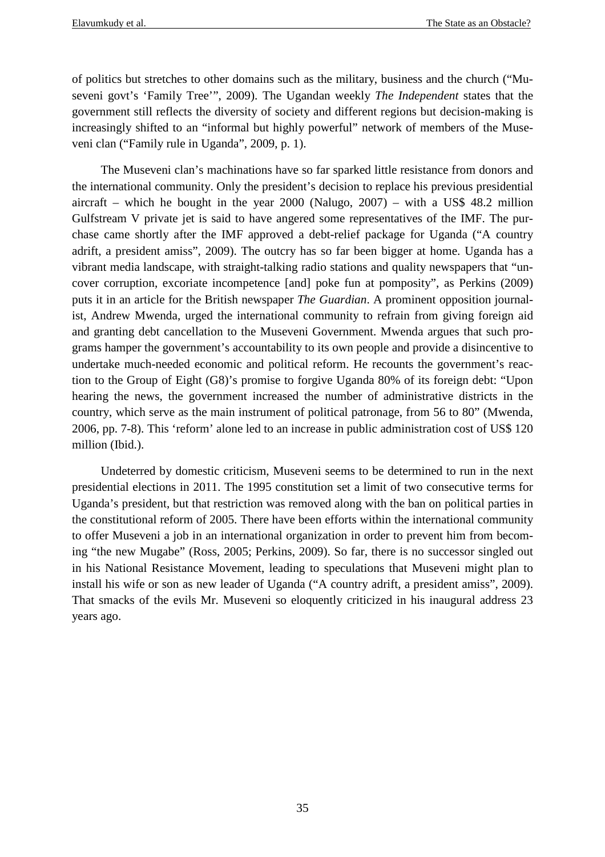of politics but stretches to other domains such as the military, business and the church ("Museveni govt's 'Family Tree'", 2009). The Ugandan weekly *The Independent* states that the government still reflects the diversity of society and different regions but decision-making is increasingly shifted to an "informal but highly powerful" network of members of the Museveni clan ("Family rule in Uganda", 2009, p. 1).

The Museveni clan's machinations have so far sparked little resistance from donors and the international community. Only the president's decision to replace his previous presidential aircraft – which he bought in the year  $2000$  (Nalugo,  $2007$ ) – with a US\$ 48.2 million Gulfstream V private jet is said to have angered some representatives of the IMF. The purchase came shortly after the IMF approved a debt-relief package for Uganda ("A country adrift, a president amiss", 2009). The outcry has so far been bigger at home. Uganda has a vibrant media landscape, with straight-talking radio stations and quality newspapers that "uncover corruption, excoriate incompetence [and] poke fun at pomposity", as Perkins (2009) puts it in an article for the British newspaper *The Guardian*. A prominent opposition journalist, Andrew Mwenda, urged the international community to refrain from giving foreign aid and granting debt cancellation to the Museveni Government. Mwenda argues that such programs hamper the government's accountability to its own people and provide a disincentive to undertake much-needed economic and political reform. He recounts the government's reaction to the Group of Eight (G8)'s promise to forgive Uganda 80% of its foreign debt: "Upon hearing the news, the government increased the number of administrative districts in the country, which serve as the main instrument of political patronage, from 56 to 80" (Mwenda, 2006, pp. 7-8). This 'reform' alone led to an increase in public administration cost of US\$ 120 million (Ibid.).

Undeterred by domestic criticism, Museveni seems to be determined to run in the next presidential elections in 2011. The 1995 constitution set a limit of two consecutive terms for Uganda's president, but that restriction was removed along with the ban on political parties in the constitutional reform of 2005. There have been efforts within the international community to offer Museveni a job in an international organization in order to prevent him from becoming "the new Mugabe" (Ross, 2005; Perkins, 2009). So far, there is no successor singled out in his National Resistance Movement, leading to speculations that Museveni might plan to install his wife or son as new leader of Uganda ("A country adrift, a president amiss", 2009). That smacks of the evils Mr. Museveni so eloquently criticized in his inaugural address 23 years ago.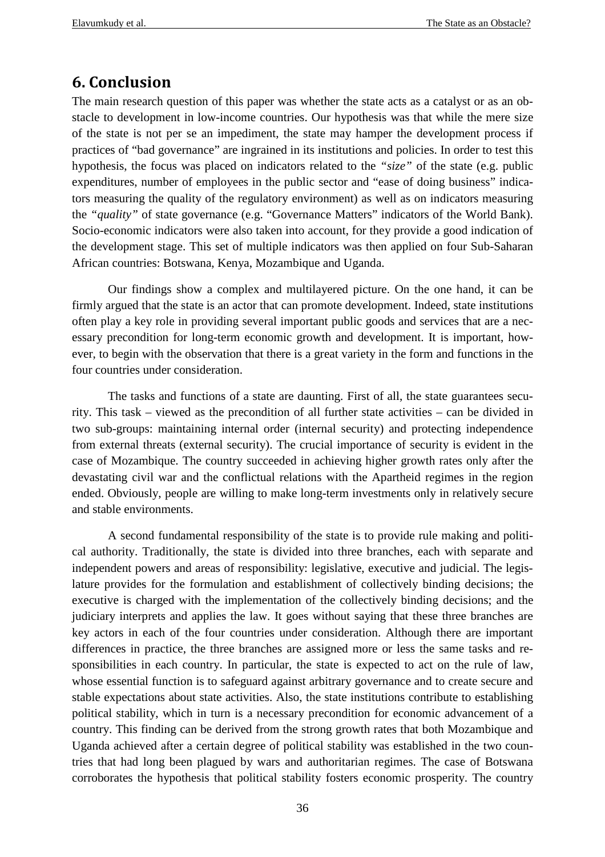## **6. Conclusion**

The main research question of this paper was whether the state acts as a catalyst or as an obstacle to development in low-income countries. Our hypothesis was that while the mere size of the state is not per se an impediment, the state may hamper the development process if practices of "bad governance" are ingrained in its institutions and policies. In order to test this hypothesis, the focus was placed on indicators related to the *"size"* of the state (e.g. public expenditures, number of employees in the public sector and "ease of doing business" indicators measuring the quality of the regulatory environment) as well as on indicators measuring the *"quality"* of state governance (e.g. "Governance Matters" indicators of the World Bank). Socio-economic indicators were also taken into account, for they provide a good indication of the development stage. This set of multiple indicators was then applied on four Sub-Saharan African countries: Botswana, Kenya, Mozambique and Uganda.

 Our findings show a complex and multilayered picture. On the one hand, it can be firmly argued that the state is an actor that can promote development. Indeed, state institutions often play a key role in providing several important public goods and services that are a necessary precondition for long-term economic growth and development. It is important, however, to begin with the observation that there is a great variety in the form and functions in the four countries under consideration.

The tasks and functions of a state are daunting. First of all, the state guarantees security. This task – viewed as the precondition of all further state activities – can be divided in two sub-groups: maintaining internal order (internal security) and protecting independence from external threats (external security). The crucial importance of security is evident in the case of Mozambique. The country succeeded in achieving higher growth rates only after the devastating civil war and the conflictual relations with the Apartheid regimes in the region ended. Obviously, people are willing to make long-term investments only in relatively secure and stable environments.

A second fundamental responsibility of the state is to provide rule making and political authority. Traditionally, the state is divided into three branches, each with separate and independent powers and areas of responsibility: legislative, executive and judicial. The legislature provides for the formulation and establishment of collectively binding decisions; the executive is charged with the implementation of the collectively binding decisions; and the judiciary interprets and applies the law. It goes without saying that these three branches are key actors in each of the four countries under consideration. Although there are important differences in practice, the three branches are assigned more or less the same tasks and responsibilities in each country. In particular, the state is expected to act on the rule of law, whose essential function is to safeguard against arbitrary governance and to create secure and stable expectations about state activities. Also, the state institutions contribute to establishing political stability, which in turn is a necessary precondition for economic advancement of a country. This finding can be derived from the strong growth rates that both Mozambique and Uganda achieved after a certain degree of political stability was established in the two countries that had long been plagued by wars and authoritarian regimes. The case of Botswana corroborates the hypothesis that political stability fosters economic prosperity. The country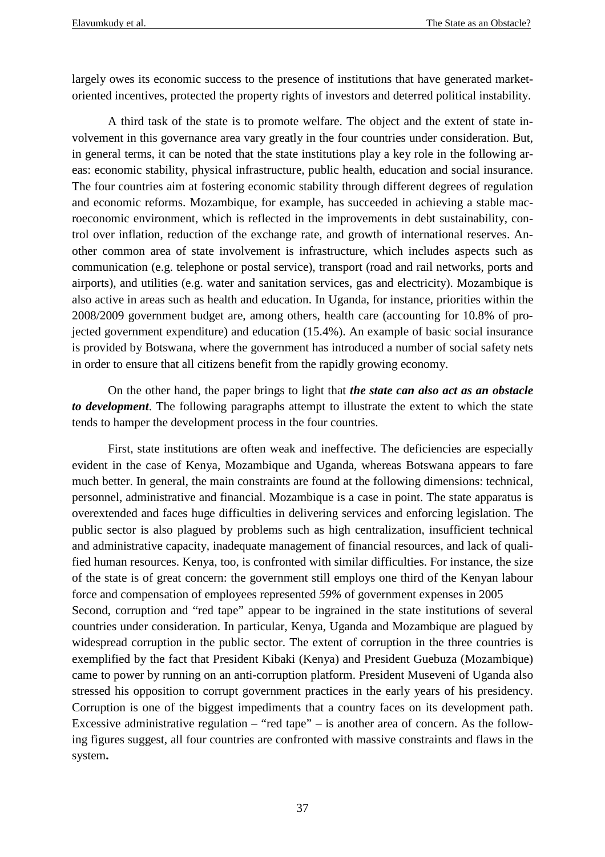largely owes its economic success to the presence of institutions that have generated marketoriented incentives, protected the property rights of investors and deterred political instability.

A third task of the state is to promote welfare. The object and the extent of state involvement in this governance area vary greatly in the four countries under consideration. But, in general terms, it can be noted that the state institutions play a key role in the following areas: economic stability, physical infrastructure, public health, education and social insurance. The four countries aim at fostering economic stability through different degrees of regulation and economic reforms. Mozambique, for example, has succeeded in achieving a stable macroeconomic environment, which is reflected in the improvements in debt sustainability, control over inflation, reduction of the exchange rate, and growth of international reserves. Another common area of state involvement is infrastructure, which includes aspects such as communication (e.g. telephone or postal service), transport (road and rail networks, ports and airports), and utilities (e.g. water and sanitation services, gas and electricity). Mozambique is also active in areas such as health and education. In Uganda, for instance, priorities within the 2008/2009 government budget are, among others, health care (accounting for 10.8% of projected government expenditure) and education (15.4%). An example of basic social insurance is provided by Botswana, where the government has introduced a number of social safety nets in order to ensure that all citizens benefit from the rapidly growing economy.

On the other hand, the paper brings to light that *the state can also act as an obstacle to development*. The following paragraphs attempt to illustrate the extent to which the state tends to hamper the development process in the four countries.

First, state institutions are often weak and ineffective. The deficiencies are especially evident in the case of Kenya, Mozambique and Uganda, whereas Botswana appears to fare much better. In general, the main constraints are found at the following dimensions: technical, personnel, administrative and financial. Mozambique is a case in point. The state apparatus is overextended and faces huge difficulties in delivering services and enforcing legislation. The public sector is also plagued by problems such as high centralization, insufficient technical and administrative capacity, inadequate management of financial resources, and lack of qualified human resources. Kenya, too, is confronted with similar difficulties. For instance, the size of the state is of great concern: the government still employs one third of the Kenyan labour force and compensation of employees represented *59%* of government expenses in 2005 Second, corruption and "red tape" appear to be ingrained in the state institutions of several countries under consideration. In particular, Kenya, Uganda and Mozambique are plagued by widespread corruption in the public sector. The extent of corruption in the three countries is exemplified by the fact that President Kibaki (Kenya) and President Guebuza (Mozambique) came to power by running on an anti-corruption platform. President Museveni of Uganda also stressed his opposition to corrupt government practices in the early years of his presidency. Corruption is one of the biggest impediments that a country faces on its development path. Excessive administrative regulation – "red tape" – is another area of concern. As the following figures suggest, all four countries are confronted with massive constraints and flaws in the system**.**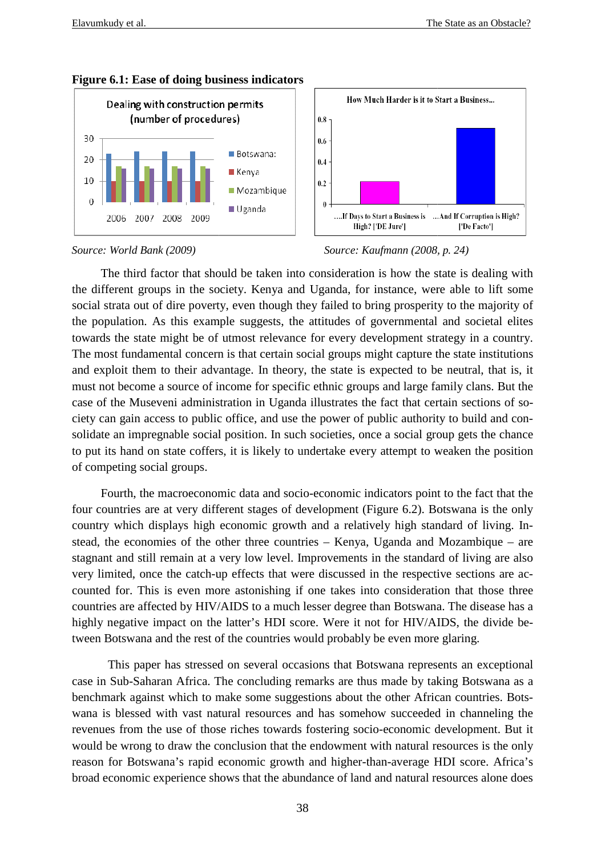





#### *Source: World Bank (2009)*



The third factor that should be taken into consideration is how the state is dealing with the different groups in the society. Kenya and Uganda, for instance, were able to lift some social strata out of dire poverty, even though they failed to bring prosperity to the majority of the population. As this example suggests, the attitudes of governmental and societal elites towards the state might be of utmost relevance for every development strategy in a country. The most fundamental concern is that certain social groups might capture the state institutions and exploit them to their advantage. In theory, the state is expected to be neutral, that is, it must not become a source of income for specific ethnic groups and large family clans. But the case of the Museveni administration in Uganda illustrates the fact that certain sections of socase of the Museveni administration in Uganda illustrates the fact that certain sections of s ciety can gain access to public office, and use the power of public authority to build and consolidate an impregnable social position. In such societies, once a social group gets the chance<br>to put its hand on state coffers, it is likely to undertake every attempt to weaken the position<br>of competing social groups.<br>F to put its hand on state coffers, it is likely to undertake every attempt to weaken the position of competing social groups. strata out of dire poverty, even though they failed to bring prosperity to the majority of pulation. As this example suggests, the attitudes of governmental and societal elites is the state might be of utmost relevance for

Fourth, the macroeconomic data and socio-economic indicators point to the fac four countries are at very different stages of development ( (Figure 6.2). Botswana is the only country which displays high economic growth and a relatively high standard of living. I Instead, the economies of the other three countries - Kenya, Uganda and Mozambique - are stagnant and still remain at a very low level. Improvements in the standard of living are also very limited, once the catch-up effects that were discussed in the respective sections are a acvery limited, once the catch-up effects that were discussed in the respective sections are accounted for. This is even more astonishing if one takes into consideration that those three countries are affected by HIV/AIDS to a much lesser degree than Botswana. The disease has a highly negative impact on the latter's HDI score. Were it not for HIV/AIDS, the divide between Botswana and the rest of the countries would probably be even more glaring.  f one takes into consideration that those three<br>lesser degree than Botswana. The disease has a<br>core. Were it not for HIV/AIDS, the divide be-

This paper has stressed on several occasions that Botswana represents an exceptional case in Sub-Saharan Africa. The concluding remarks are thus made by taking Botswana as a benchmark against which to make some suggestions about the other African countries. Botswana is blessed with vast natural resources and has somehow succeeded in channeling the revenues from the use of those riches towards fostering socio-economic development. But it would be wrong to draw the conclusion that the endowment with natural resources is the only reason for Botswana's rapid economic growth and higher-than-average HDI score. broad economic experience shows that the abundance of land and natural resources alone does hly negative impact on the latter's HDI score. Were it not for HIV/AIDS, the divide be-<br>een Botswana and the rest of the countries would probably be even more glaring.<br>This paper has stressed on several occasions that Bots economic development. But it<br>th natural resources is the only<br>n-average HDI score. Africa's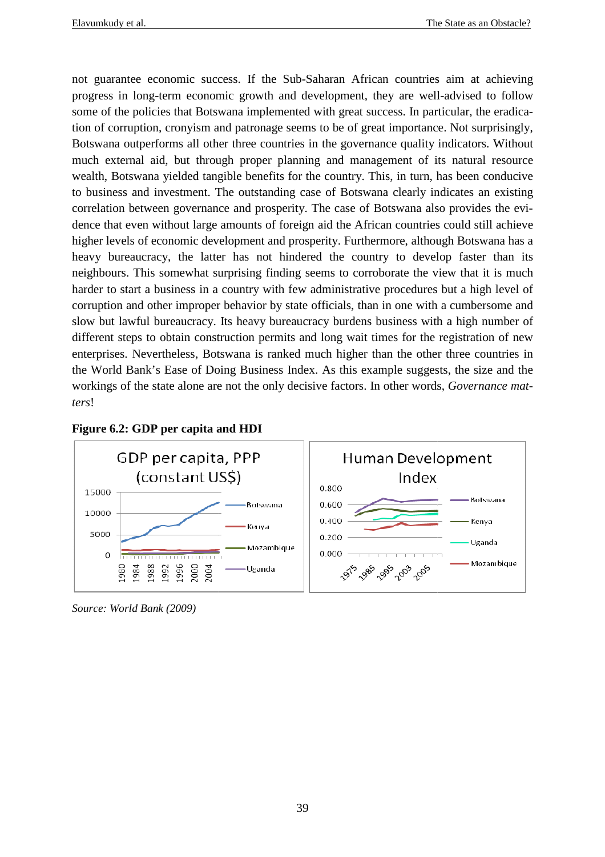not guarantee economic success. If the Sub-Saharan African countries aim at achieving<br>progress in long-term economic growth and development, they are well-advised to follow progress in long-term economic growth and development, they are well some of the policies that Botswana implemented with great success. In particular, the eradication of corruption, cronyism and patronage seems to be of great importance. Not surprisingly, Botswana outperforms all other three countries in the governance quality indicators. Without progress in long-term economic growth and development, they are well-advised to follow<br>some of the policies that Botswana implemented with great success. In particular, the eradica-<br>tion of corruption, cronyism and patrona wealth, Botswana yielded tangible benefits for the country. This, in turn, has been conducive to business and investment. The outstanding case of Botswana clearly indicates an existing to business and investment. The outstanding case of Botswana clearly indicates an existin<br>correlation between governance and prosperity. The case of Botswana also provides the ev dence that even without large amounts of foreign aid the African countries could still achieve higher levels of economic development and prosperity. Furthermore, although Botswana has a heavy bureaucracy, the latter has not hindered the country to develop faster than its heavy bureaucracy, the latter has not hindered the country to develop faster than its neighbours. This somewhat surprising finding seems to corroborate the view that it is much harder to start a business in a country with few administrative procedures but a high level of corruption and other improper behavior by state officials, than in one with a cumbersome and slow but lawful bureaucracy. Its heavy bureaucracy burdens business with a high number of slow but lawful bureaucracy. Its heavy bureaucracy burdens business with a hi different steps to obtain construction permits and long wait times for the regist enterprises. Nevertheless, Botswana is ranked much higher than the other three countries in enterprises. Nevertheless, Botswana is ranked much higher than the other three countries in the World Bank's Ease of Doing Business Index. As this example suggests, the size and the workings of the state alone are not the only decisive factors. In other words, Governance mat*ters*! ent of its natural resource<br>in turn, has been conducive<br>learly indicates an existing<br>wana also provides the eviprising finding seems to corroborate the view that it is much<br>ountry with few administrative procedures but a high level of<br>behavior by state officials, than in one with a cumbersome and<br>s heavy bureaucracy burdens busines



#### **Figure 6.2: GDP per capita and HDI**

*Source: World Bank (2009)*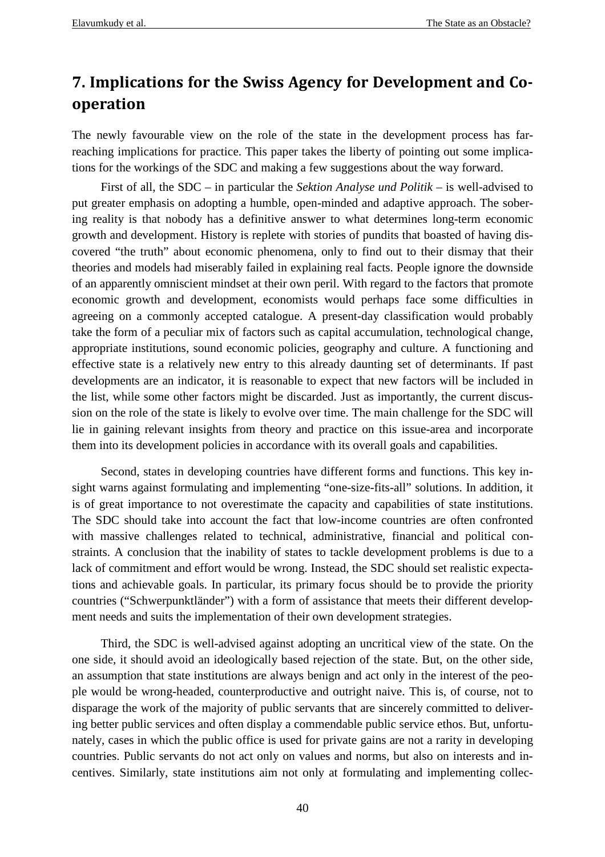## **7. Implications for the Swiss Agency for Development and Cooperation**

The newly favourable view on the role of the state in the development process has farreaching implications for practice. This paper takes the liberty of pointing out some implications for the workings of the SDC and making a few suggestions about the way forward.

 First of all, the SDC – in particular the *Sektion Analyse und Politik* – is well-advised to put greater emphasis on adopting a humble, open-minded and adaptive approach. The sobering reality is that nobody has a definitive answer to what determines long-term economic growth and development. History is replete with stories of pundits that boasted of having discovered "the truth" about economic phenomena, only to find out to their dismay that their theories and models had miserably failed in explaining real facts. People ignore the downside of an apparently omniscient mindset at their own peril. With regard to the factors that promote economic growth and development, economists would perhaps face some difficulties in agreeing on a commonly accepted catalogue. A present-day classification would probably take the form of a peculiar mix of factors such as capital accumulation, technological change, appropriate institutions, sound economic policies, geography and culture. A functioning and effective state is a relatively new entry to this already daunting set of determinants. If past developments are an indicator, it is reasonable to expect that new factors will be included in the list, while some other factors might be discarded. Just as importantly, the current discussion on the role of the state is likely to evolve over time. The main challenge for the SDC will lie in gaining relevant insights from theory and practice on this issue-area and incorporate them into its development policies in accordance with its overall goals and capabilities.

 Second, states in developing countries have different forms and functions. This key insight warns against formulating and implementing "one-size-fits-all" solutions. In addition, it is of great importance to not overestimate the capacity and capabilities of state institutions. The SDC should take into account the fact that low-income countries are often confronted with massive challenges related to technical, administrative, financial and political constraints. A conclusion that the inability of states to tackle development problems is due to a lack of commitment and effort would be wrong. Instead, the SDC should set realistic expectations and achievable goals. In particular, its primary focus should be to provide the priority countries ("Schwerpunktländer") with a form of assistance that meets their different development needs and suits the implementation of their own development strategies.

 Third, the SDC is well-advised against adopting an uncritical view of the state. On the one side, it should avoid an ideologically based rejection of the state. But, on the other side, an assumption that state institutions are always benign and act only in the interest of the people would be wrong-headed, counterproductive and outright naive. This is, of course, not to disparage the work of the majority of public servants that are sincerely committed to delivering better public services and often display a commendable public service ethos. But, unfortunately, cases in which the public office is used for private gains are not a rarity in developing countries. Public servants do not act only on values and norms, but also on interests and incentives. Similarly, state institutions aim not only at formulating and implementing collec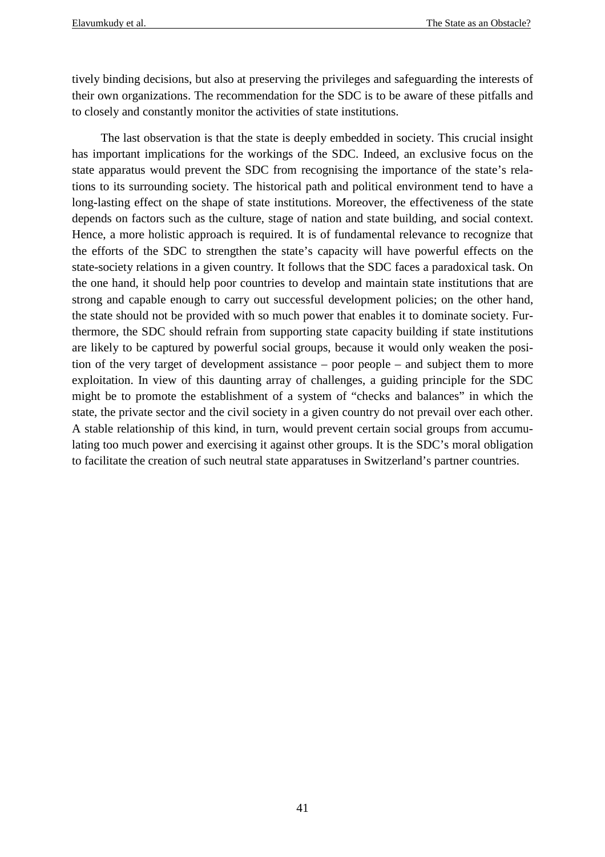tively binding decisions, but also at preserving the privileges and safeguarding the interests of their own organizations. The recommendation for the SDC is to be aware of these pitfalls and to closely and constantly monitor the activities of state institutions.

 The last observation is that the state is deeply embedded in society. This crucial insight has important implications for the workings of the SDC. Indeed, an exclusive focus on the state apparatus would prevent the SDC from recognising the importance of the state's relations to its surrounding society. The historical path and political environment tend to have a long-lasting effect on the shape of state institutions. Moreover, the effectiveness of the state depends on factors such as the culture, stage of nation and state building, and social context. Hence, a more holistic approach is required. It is of fundamental relevance to recognize that the efforts of the SDC to strengthen the state's capacity will have powerful effects on the state-society relations in a given country*.* It follows that the SDC faces a paradoxical task. On the one hand, it should help poor countries to develop and maintain state institutions that are strong and capable enough to carry out successful development policies; on the other hand, the state should not be provided with so much power that enables it to dominate society. Furthermore, the SDC should refrain from supporting state capacity building if state institutions are likely to be captured by powerful social groups, because it would only weaken the position of the very target of development assistance – poor people – and subject them to more exploitation. In view of this daunting array of challenges, a guiding principle for the SDC might be to promote the establishment of a system of "checks and balances" in which the state, the private sector and the civil society in a given country do not prevail over each other. A stable relationship of this kind, in turn, would prevent certain social groups from accumulating too much power and exercising it against other groups. It is the SDC's moral obligation to facilitate the creation of such neutral state apparatuses in Switzerland's partner countries.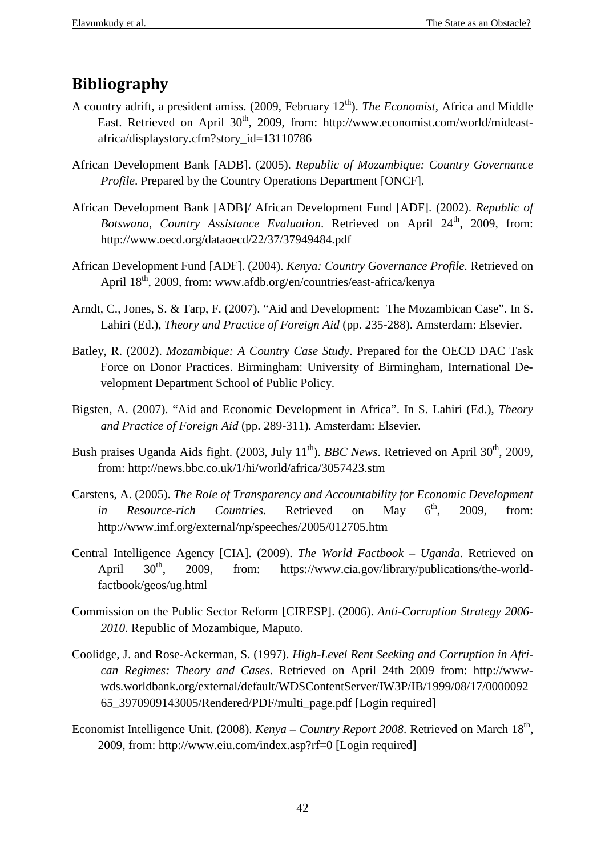## **Bibliography**

- A country adrift, a president amiss. (2009, February 12<sup>th</sup>). *The Economist*, Africa and Middle East. Retrieved on April 30<sup>th</sup>, 2009, from: http://www.economist.com/world/mideastafrica/displaystory.cfm?story\_id=13110786
- African Development Bank [ADB]. (2005). *Republic of Mozambique: Country Governance Profile*. Prepared by the Country Operations Department [ONCF].
- African Development Bank [ADB]/ African Development Fund [ADF]. (2002). *Republic of*  Botswana, Country Assistance Evaluation. Retrieved on April 24<sup>th</sup>, 2009, from: http://www.oecd.org/dataoecd/22/37/37949484.pdf
- African Development Fund [ADF]. (2004). *Kenya: Country Governance Profile.* Retrieved on April 18<sup>th</sup>, 2009, from: www.afdb.org/en/countries/east-africa/kenya
- Arndt, C., Jones, S. & Tarp, F. (2007). "Aid and Development: The Mozambican Case". In S. Lahiri (Ed.), *Theory and Practice of Foreign Aid* (pp. 235-288). Amsterdam: Elsevier.
- Batley, R. (2002). *Mozambique: A Country Case Study*. Prepared for the OECD DAC Task Force on Donor Practices. Birmingham: University of Birmingham, International Development Department School of Public Policy.
- Bigsten, A. (2007). "Aid and Economic Development in Africa". In S. Lahiri (Ed.), *Theory and Practice of Foreign Aid* (pp. 289-311). Amsterdam: Elsevier.
- Bush praises Uganda Aids fight. (2003, July 11<sup>th</sup>). *BBC News*. Retrieved on April 30<sup>th</sup>, 2009, from: http://news.bbc.co.uk/1/hi/world/africa/3057423.stm
- Carstens, A. (2005). *The Role of Transparency and Accountability for Economic Development in Resource-rich Countries*. Retrieved on May 6<sup>th</sup>, 2009, from: http://www.imf.org/external/np/speeches/2005/012705.htm
- Central Intelligence Agency [CIA]. (2009). *The World Factbook Uganda*. Retrieved on April  $30<sup>th</sup>$ , 2009, from: https://www.cia.gov/library/publications/the-worldfactbook/geos/ug.html
- Commission on the Public Sector Reform [CIRESP]. (2006). *Anti-Corruption Strategy 2006- 2010.* Republic of Mozambique, Maputo.
- Coolidge, J. and Rose-Ackerman, S. (1997). *High-Level Rent Seeking and Corruption in African Regimes: Theory and Cases*. Retrieved on April 24th 2009 from: http://wwwwds.worldbank.org/external/default/WDSContentServer/IW3P/IB/1999/08/17/0000092 65\_3970909143005/Rendered/PDF/multi\_page.pdf [Login required]
- Economist Intelligence Unit. (2008). *Kenya Country Report 2008*. Retrieved on March 18<sup>th</sup>, 2009, from: http://www.eiu.com/index.asp?rf=0 [Login required]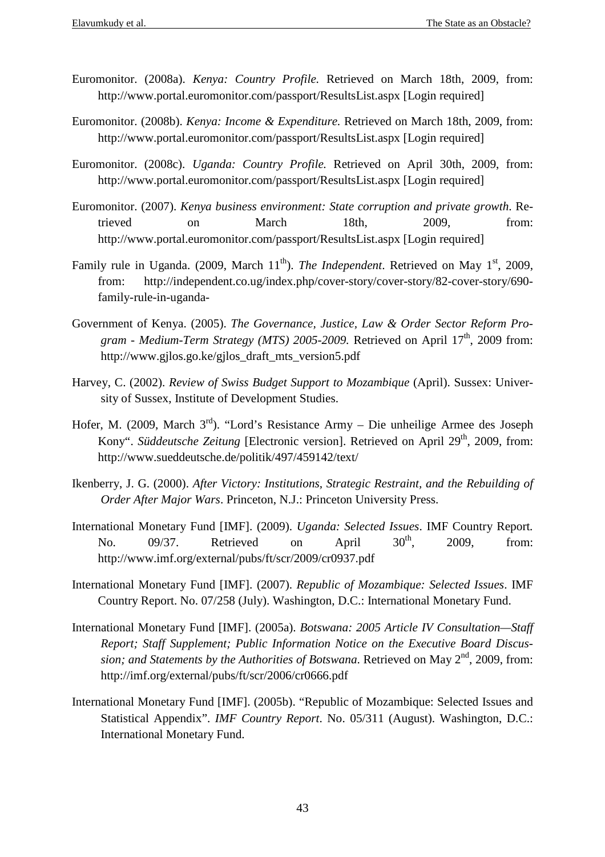- Euromonitor. (2008a). *Kenya: Country Profile.* Retrieved on March 18th, 2009, from: http://www.portal.euromonitor.com/passport/ResultsList.aspx [Login required]
- Euromonitor. (2008b). *Kenya: Income & Expenditure.* Retrieved on March 18th, 2009, from: http://www.portal.euromonitor.com/passport/ResultsList.aspx [Login required]
- Euromonitor. (2008c). *Uganda: Country Profile.* Retrieved on April 30th, 2009, from: http://www.portal.euromonitor.com/passport/ResultsList.aspx [Login required]
- Euromonitor. (2007). *Kenya business environment: State corruption and private growth*. Retrieved on March 18th, 2009, from: http://www.portal.euromonitor.com/passport/ResultsList.aspx [Login required]
- Family rule in Uganda. (2009, March 11<sup>th</sup>). *The Independent*. Retrieved on May 1<sup>st</sup>, 2009, from: http://independent.co.ug/index.php/cover-story/cover-story/82-cover-story/690 family-rule-in-uganda-
- Government of Kenya. (2005). *The Governance, Justice, Law & Order Sector Reform Pro*gram - Medium-Term Strategy (MTS) 2005-2009. Retrieved on April 17<sup>th</sup>, 2009 from: http://www.gjlos.go.ke/gjlos\_draft\_mts\_version5.pdf
- Harvey, C. (2002). *Review of Swiss Budget Support to Mozambique* (April). Sussex: University of Sussex, Institute of Development Studies.
- Hofer, M. (2009, March 3rd). "Lord's Resistance Army Die unheilige Armee des Joseph Kony". *Süddeutsche Zeitung* [Electronic version]. Retrieved on April 29<sup>th</sup>, 2009, from: http://www.sueddeutsche.de/politik/497/459142/text/
- Ikenberry, J. G. (2000). *After Victory: Institutions, Strategic Restraint, and the Rebuilding of Order After Major Wars*. Princeton, N.J.: Princeton University Press.
- International Monetary Fund [IMF]. (2009). *Uganda: Selected Issues*. IMF Country Report*.* No.  $09/37$ . Retrieved on April  $30<sup>th</sup>$ , 2009, from: http://www.imf.org/external/pubs/ft/scr/2009/cr0937.pdf
- International Monetary Fund [IMF]. (2007). *Republic of Mozambique: Selected Issues*. IMF Country Report. No. 07/258 (July). Washington, D.C.: International Monetary Fund.
- International Monetary Fund [IMF]. (2005a). *Botswana: 2005 Article IV Consultation—Staff Report; Staff Supplement; Public Information Notice on the Executive Board Discussion; and Statements by the Authorities of Botswana*. Retrieved on May 2<sup>nd</sup>, 2009, from: http://imf.org/external/pubs/ft/scr/2006/cr0666.pdf
- International Monetary Fund [IMF]. (2005b). "Republic of Mozambique: Selected Issues and Statistical Appendix". *IMF Country Report*. No. 05/311 (August). Washington, D.C.: International Monetary Fund.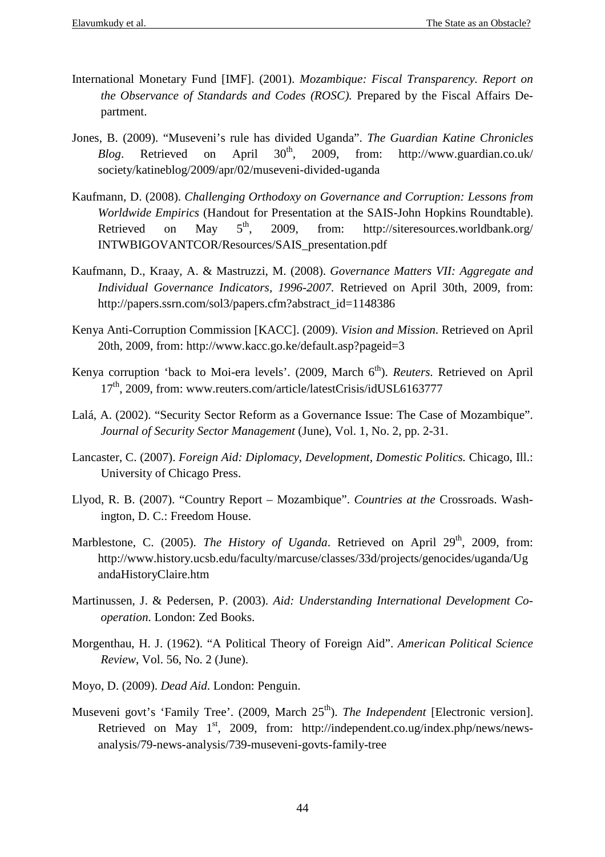- International Monetary Fund [IMF]. (2001). *Mozambique: Fiscal Transparency. Report on the Observance of Standards and Codes (ROSC).* Prepared by the Fiscal Affairs Department.
- Jones, B. (2009). "Museveni's rule has divided Uganda". *The Guardian Katine Chronicles Blog.* Retrieved on April  $30<sup>th</sup>$ , 2009, from: http://www.guardian.co.uk/ society/katineblog/2009/apr/02/museveni-divided-uganda
- Kaufmann, D. (2008). *Challenging Orthodoxy on Governance and Corruption: Lessons from Worldwide Empirics* (Handout for Presentation at the SAIS-John Hopkins Roundtable). Retrieved on May  $5<sup>th</sup>$ , 2009, from: http://siteresources.worldbank.org/ INTWBIGOVANTCOR/Resources/SAIS\_presentation.pdf
- Kaufmann, D., Kraay, A. & Mastruzzi, M. (2008). *Governance Matters VII: Aggregate and Individual Governance Indicators, 1996-2007*. Retrieved on April 30th, 2009, from: http://papers.ssrn.com/sol3/papers.cfm?abstract\_id=1148386
- Kenya Anti-Corruption Commission [KACC]. (2009). *Vision and Mission*. Retrieved on April 20th, 2009, from: http://www.kacc.go.ke/default.asp?pageid=3
- Kenya corruption 'back to Moi-era levels'. (2009, March 6<sup>th</sup>). *Reuters*. Retrieved on April 17<sup>th</sup>, 2009, from: www.reuters.com/article/latestCrisis/idUSL6163777
- Lalá, A. (2002). "Security Sector Reform as a Governance Issue: The Case of Mozambique". *Journal of Security Sector Management* (June), Vol. 1, No. 2, pp. 2-31.
- Lancaster, C. (2007). *Foreign Aid: Diplomacy, Development, Domestic Politics.* Chicago, Ill.: University of Chicago Press.
- Llyod, R. B. (2007). "Country Report Mozambique". *Countries at the* Crossroads. Washington, D. C.: Freedom House.
- Marblestone, C. (2005). *The History of Uganda*. Retrieved on April 29<sup>th</sup>, 2009, from: http://www.history.ucsb.edu/faculty/marcuse/classes/33d/projects/genocides/uganda/Ug andaHistoryClaire.htm
- Martinussen, J. & Pedersen, P. (2003). *Aid: Understanding International Development Cooperation*. London: Zed Books.
- Morgenthau, H. J. (1962). "A Political Theory of Foreign Aid". *American Political Science Review*, Vol. 56, No. 2 (June).
- Moyo, D. (2009). *Dead Aid*. London: Penguin.
- Museveni govt's 'Family Tree'. (2009, March 25<sup>th</sup>). *The Independent* [Electronic version]. Retrieved on May  $1<sup>st</sup>$ , 2009, from: http://independent.co.ug/index.php/news/newsanalysis/79-news-analysis/739-museveni-govts-family-tree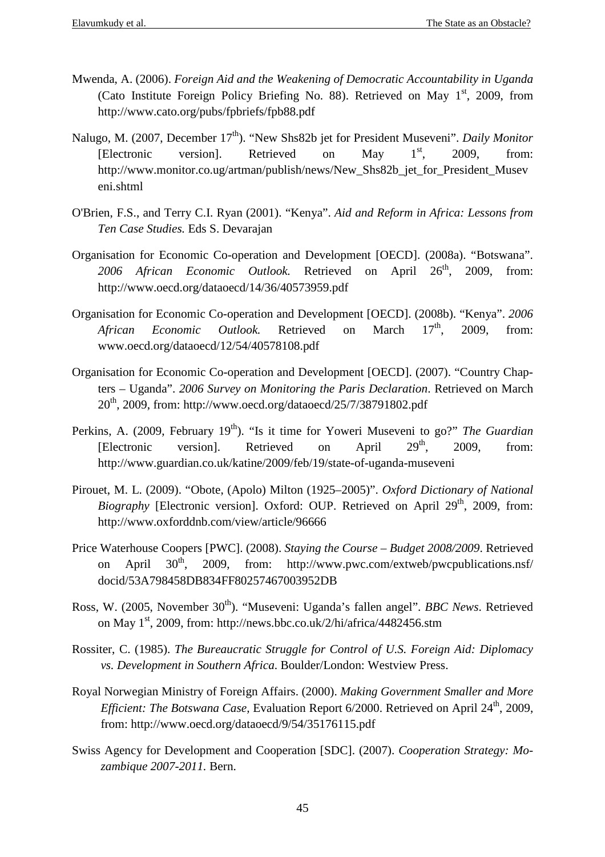- Mwenda, A. (2006). *Foreign Aid and the Weakening of Democratic Accountability in Uganda* (Cato Institute Foreign Policy Briefing No. 88). Retrieved on May  $1<sup>st</sup>$ , 2009, from http://www.cato.org/pubs/fpbriefs/fpb88.pdf
- Nalugo, M. (2007, December 17<sup>th</sup>). "New Shs82b jet for President Museveni". *Daily Monitor* [Electronic version]. Retrieved on May  $1<sup>st</sup>$ , 2009, from: http://www.monitor.co.ug/artman/publish/news/New\_Shs82b\_jet\_for\_President\_Musev eni.shtml
- O'Brien, F.S., and Terry C.I. Ryan (2001). "Kenya". *Aid and Reform in Africa: Lessons from Ten Case Studies.* Eds S. Devarajan
- Organisation for Economic Co-operation and Development [OECD]. (2008a). "Botswana". 2006 African Economic Outlook. Retrieved on April 26<sup>th</sup>, 2009, from: http://www.oecd.org/dataoecd/14/36/40573959.pdf
- Organisation for Economic Co-operation and Development [OECD]. (2008b). "Kenya". *2006 African Economic Outlook*. Retrieved on March 17<sup>th</sup>, 2009, from: www.oecd.org/dataoecd/12/54/40578108.pdf
- Organisation for Economic Co-operation and Development [OECD]. (2007). "Country Chapters – Uganda". *2006 Survey on Monitoring the Paris Declaration*. Retrieved on March 20th, 2009, from: http://www.oecd.org/dataoecd/25/7/38791802.pdf
- Perkins, A. (2009, February 19<sup>th</sup>). "Is it time for Yoweri Museveni to go?" *The Guardian* [Electronic version]. Retrieved on April 29<sup>th</sup>, 2009, from: http://www.guardian.co.uk/katine/2009/feb/19/state-of-uganda-museveni
- Pirouet, M. L. (2009). "Obote, (Apolo) Milton (1925–2005)". *Oxford Dictionary of National Biography* [Electronic version]. Oxford: OUP. Retrieved on April 29<sup>th</sup>, 2009, from: http://www.oxforddnb.com/view/article/96666
- Price Waterhouse Coopers [PWC]. (2008). *Staying the Course Budget 2008/2009*. Retrieved on April  $30^{th}$ ,  $2009$ , from: http://www.pwc.com/extweb/pwcpublications.nsf/ docid/53A798458DB834FF80257467003952DB
- Ross, W. (2005, November 30<sup>th</sup>). "Museveni: Uganda's fallen angel". *BBC News*. Retrieved on May 1<sup>st</sup>, 2009, from: http://news.bbc.co.uk/2/hi/africa/4482456.stm
- Rossiter, C. (1985). *The Bureaucratic Struggle for Control of U.S. Foreign Aid: Diplomacy vs. Development in Southern Africa*. Boulder/London: Westview Press.
- Royal Norwegian Ministry of Foreign Affairs. (2000). *Making Government Smaller and More Efficient: The Botswana Case, Evaluation Report 6/2000. Retrieved on April 24<sup>th</sup>, 2009,* from: http://www.oecd.org/dataoecd/9/54/35176115.pdf
- Swiss Agency for Development and Cooperation [SDC]. (2007). *Cooperation Strategy: Mozambique 2007-2011.* Bern.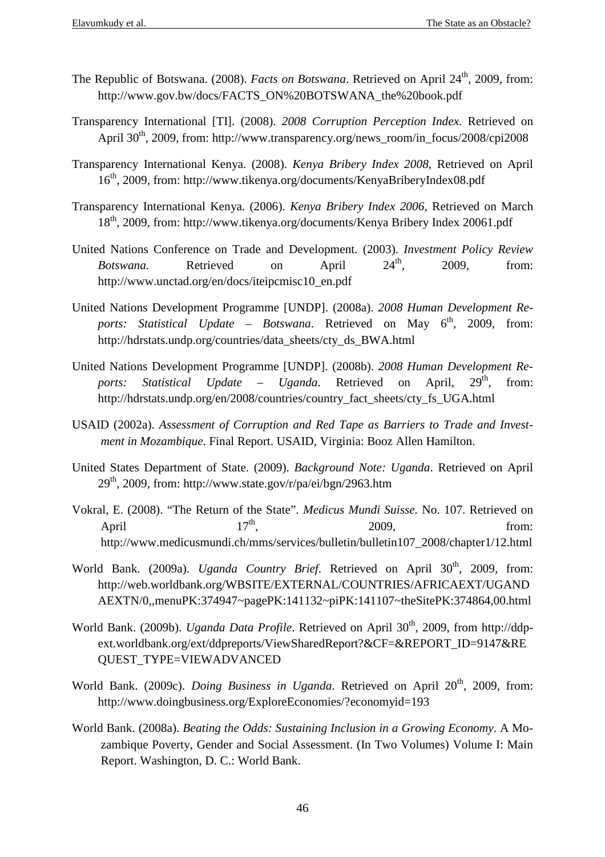- The Republic of Botswana. (2008). *Facts on Botswana*. Retrieved on April 24<sup>th</sup>, 2009, from: http://www.gov.bw/docs/FACTS\_ON%20BOTSWANA\_the%20book.pdf
- Transparency International [TI]. (2008). *2008 Corruption Perception Index*. Retrieved on April 30<sup>th</sup>, 2009, from: http://www.transparency.org/news\_room/in\_focus/2008/cpi2008
- Transparency International Kenya. (2008). *Kenya Bribery Index 2008*, Retrieved on April 16th, 2009, from: http://www.tikenya.org/documents/KenyaBriberyIndex08.pdf
- Transparency International Kenya. (2006). *Kenya Bribery Index 2006,* Retrieved on March 18th, 2009, from: http://www.tikenya.org/documents/Kenya Bribery Index 20061.pdf
- United Nations Conference on Trade and Development. (2003). *Investment Policy Review Botswana.* Retrieved on April  $24^{\text{th}}$ , 2009, from: http://www.unctad.org/en/docs/iteipcmisc10\_en.pdf
- United Nations Development Programme [UNDP]. (2008a). *2008 Human Development Re*ports: Statistical Update - Botswana. Retrieved on May 6<sup>th</sup>, 2009, from: http://hdrstats.undp.org/countries/data\_sheets/cty\_ds\_BWA.html
- United Nations Development Programme [UNDP]. (2008b). *2008 Human Development Reports: Statistical Update – Uganda*. Retrieved on April, 29<sup>th</sup>, from: http://hdrstats.undp.org/en/2008/countries/country\_fact\_sheets/cty\_fs\_UGA.html
- USAID (2002a). *Assessment of Corruption and Red Tape as Barriers to Trade and Investment in Mozambique*. Final Report. USAID, Virginia: Booz Allen Hamilton.
- United States Department of State. (2009). *Background Note: Uganda*. Retrieved on April  $29<sup>th</sup>$ , 2009, from: http://www.state.gov/r/pa/ei/bgn/2963.htm
- Vokral, E. (2008). "The Return of the State". *Medicus Mundi Suisse.* No. 107. Retrieved on April  $17<sup>th</sup>$ ,  $2009$ , from: http://www.medicusmundi.ch/mms/services/bulletin/bulletin107\_2008/chapter1/12.html
- World Bank. (2009a). *Uganda Country Brief*. Retrieved on April 30<sup>th</sup>, 2009, from: http://web.worldbank.org/WBSITE/EXTERNAL/COUNTRIES/AFRICAEXT/UGAND AEXTN/0,,menuPK:374947~pagePK:141132~piPK:141107~theSitePK:374864,00.html
- World Bank. (2009b). *Uganda Data Profile*. Retrieved on April 30<sup>th</sup>, 2009, from http://ddpext.worldbank.org/ext/ddpreports/ViewSharedReport?&CF=&REPORT\_ID=9147&RE QUEST\_TYPE=VIEWADVANCED
- World Bank. (2009c). *Doing Business in Uganda*. Retrieved on April 20<sup>th</sup>, 2009, from: http://www.doingbusiness.org/ExploreEconomies/?economyid=193
- World Bank. (2008a). *Beating the Odds: Sustaining Inclusion in a Growing Economy*. A Mozambique Poverty, Gender and Social Assessment. (In Two Volumes) Volume I: Main Report. Washington, D. C.: World Bank.